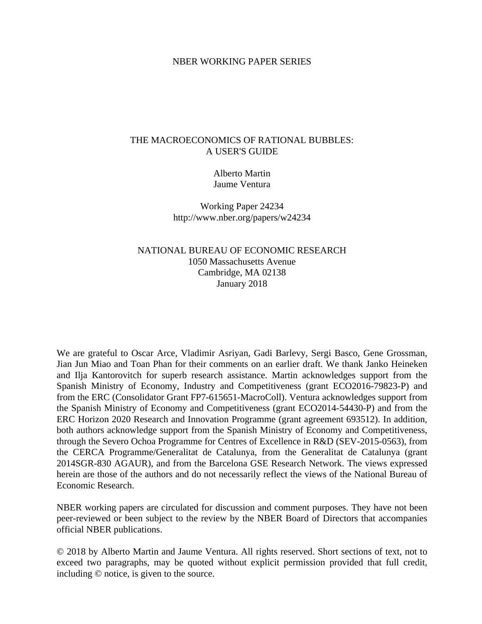## NBER WORKING PAPER SERIES

## THE MACROECONOMICS OF RATIONAL BUBBLES: A USER'S GUIDE

Alberto Martin Jaume Ventura

Working Paper 24234 http://www.nber.org/papers/w24234

NATIONAL BUREAU OF ECONOMIC RESEARCH 1050 Massachusetts Avenue Cambridge, MA 02138 January 2018

We are grateful to Oscar Arce, Vladimir Asriyan, Gadi Barlevy, Sergi Basco, Gene Grossman, Jian Jun Miao and Toan Phan for their comments on an earlier draft. We thank Janko Heineken and Ilja Kantorovitch for superb research assistance. Martin acknowledges support from the Spanish Ministry of Economy, Industry and Competitiveness (grant ECO2016-79823-P) and from the ERC (Consolidator Grant FP7-615651-MacroColl). Ventura acknowledges support from the Spanish Ministry of Economy and Competitiveness (grant ECO2014-54430-P) and from the ERC Horizon 2020 Research and Innovation Programme (grant agreement 693512). In addition, both authors acknowledge support from the Spanish Ministry of Economy and Competitiveness, through the Severo Ochoa Programme for Centres of Excellence in R&D (SEV-2015-0563), from the CERCA Programme/Generalitat de Catalunya, from the Generalitat de Catalunya (grant 2014SGR-830 AGAUR), and from the Barcelona GSE Research Network. The views expressed herein are those of the authors and do not necessarily reflect the views of the National Bureau of Economic Research.

NBER working papers are circulated for discussion and comment purposes. They have not been peer-reviewed or been subject to the review by the NBER Board of Directors that accompanies official NBER publications.

© 2018 by Alberto Martin and Jaume Ventura. All rights reserved. Short sections of text, not to exceed two paragraphs, may be quoted without explicit permission provided that full credit, including © notice, is given to the source.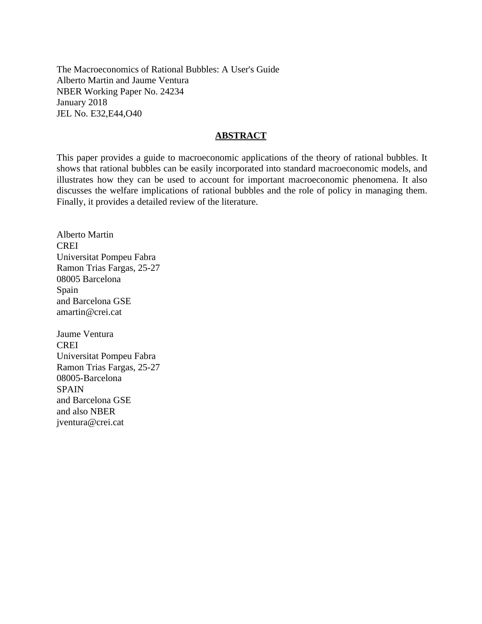The Macroeconomics of Rational Bubbles: A User's Guide Alberto Martin and Jaume Ventura NBER Working Paper No. 24234 January 2018 JEL No. E32,E44,O40

## **ABSTRACT**

This paper provides a guide to macroeconomic applications of the theory of rational bubbles. It shows that rational bubbles can be easily incorporated into standard macroeconomic models, and illustrates how they can be used to account for important macroeconomic phenomena. It also discusses the welfare implications of rational bubbles and the role of policy in managing them. Finally, it provides a detailed review of the literature.

Alberto Martin CREI Universitat Pompeu Fabra Ramon Trias Fargas, 25-27 08005 Barcelona Spain and Barcelona GSE amartin@crei.cat

Jaume Ventura **CREI** Universitat Pompeu Fabra Ramon Trias Fargas, 25-27 08005-Barcelona SPAIN and Barcelona GSE and also NBER jventura@crei.cat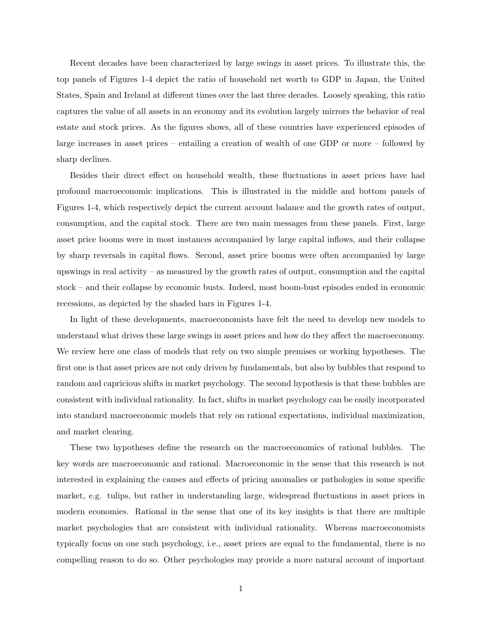Recent decades have been characterized by large swings in asset prices. To illustrate this, the top panels of Figures 1-4 depict the ratio of household net worth to GDP in Japan, the United States, Spain and Ireland at different times over the last three decades. Loosely speaking, this ratio captures the value of all assets in an economy and its evolution largely mirrors the behavior of real estate and stock prices. As the figures shows, all of these countries have experienced episodes of large increases in asset prices – entailing a creation of wealth of one GDP or more – followed by sharp declines.

Besides their direct effect on household wealth, these fluctuations in asset prices have had profound macroeconomic implications. This is illustrated in the middle and bottom panels of Figures 1-4, which respectively depict the current account balance and the growth rates of output, consumption, and the capital stock. There are two main messages from these panels. First, large asset price booms were in most instances accompanied by large capital inflows, and their collapse by sharp reversals in capital flows. Second, asset price booms were often accompanied by large upswings in real activity – as measured by the growth rates of output, consumption and the capital stock – and their collapse by economic busts. Indeed, most boom-bust episodes ended in economic recessions, as depicted by the shaded bars in Figures 1-4.

In light of these developments, macroeconomists have felt the need to develop new models to understand what drives these large swings in asset prices and how do they affect the macroeconomy. We review here one class of models that rely on two simple premises or working hypotheses. The first one is that asset prices are not only driven by fundamentals, but also by bubbles that respond to random and capricious shifts in market psychology. The second hypothesis is that these bubbles are consistent with individual rationality. In fact, shifts in market psychology can be easily incorporated into standard macroeconomic models that rely on rational expectations, individual maximization, and market clearing.

These two hypotheses define the research on the macroeconomics of rational bubbles. The key words are macroeconomic and rational. Macroeconomic in the sense that this research is not interested in explaining the causes and effects of pricing anomalies or pathologies in some specific market, e.g. tulips, but rather in understanding large, widespread fluctuations in asset prices in modern economies. Rational in the sense that one of its key insights is that there are multiple market psychologies that are consistent with individual rationality. Whereas macroeconomists typically focus on one such psychology, i.e., asset prices are equal to the fundamental, there is no compelling reason to do so. Other psychologies may provide a more natural account of important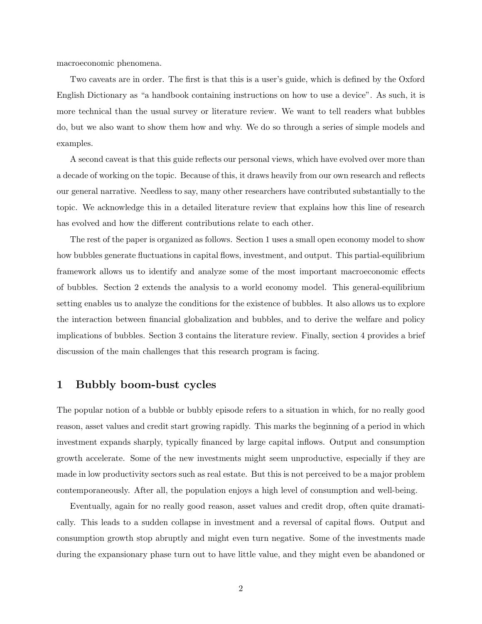macroeconomic phenomena.

Two caveats are in order. The first is that this is a user's guide, which is defined by the Oxford English Dictionary as "a handbook containing instructions on how to use a device". As such, it is more technical than the usual survey or literature review. We want to tell readers what bubbles do, but we also want to show them how and why. We do so through a series of simple models and examples.

A second caveat is that this guide reflects our personal views, which have evolved over more than a decade of working on the topic. Because of this, it draws heavily from our own research and reflects our general narrative. Needless to say, many other researchers have contributed substantially to the topic. We acknowledge this in a detailed literature review that explains how this line of research has evolved and how the different contributions relate to each other.

The rest of the paper is organized as follows. Section 1 uses a small open economy model to show how bubbles generate fluctuations in capital flows, investment, and output. This partial-equilibrium framework allows us to identify and analyze some of the most important macroeconomic effects of bubbles. Section 2 extends the analysis to a world economy model. This general-equilibrium setting enables us to analyze the conditions for the existence of bubbles. It also allows us to explore the interaction between financial globalization and bubbles, and to derive the welfare and policy implications of bubbles. Section 3 contains the literature review. Finally, section 4 provides a brief discussion of the main challenges that this research program is facing.

## 1 Bubbly boom-bust cycles

The popular notion of a bubble or bubbly episode refers to a situation in which, for no really good reason, asset values and credit start growing rapidly. This marks the beginning of a period in which investment expands sharply, typically financed by large capital inflows. Output and consumption growth accelerate. Some of the new investments might seem unproductive, especially if they are made in low productivity sectors such as real estate. But this is not perceived to be a major problem contemporaneously. After all, the population enjoys a high level of consumption and well-being.

Eventually, again for no really good reason, asset values and credit drop, often quite dramatically. This leads to a sudden collapse in investment and a reversal of capital flows. Output and consumption growth stop abruptly and might even turn negative. Some of the investments made during the expansionary phase turn out to have little value, and they might even be abandoned or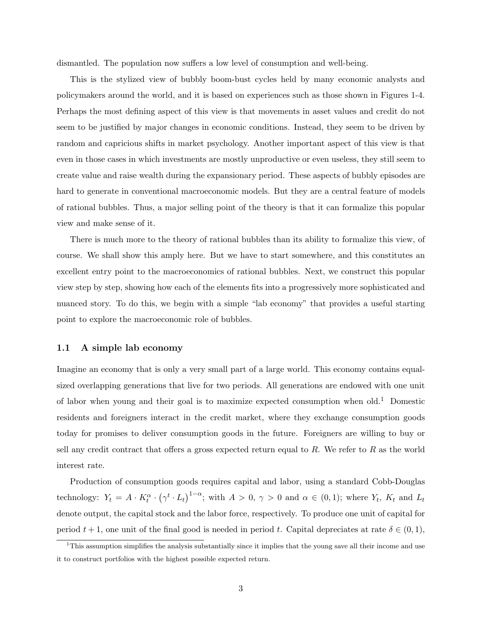dismantled. The population now suffers a low level of consumption and well-being.

This is the stylized view of bubbly boom-bust cycles held by many economic analysts and policymakers around the world, and it is based on experiences such as those shown in Figures 1-4. Perhaps the most defining aspect of this view is that movements in asset values and credit do not seem to be justified by major changes in economic conditions. Instead, they seem to be driven by random and capricious shifts in market psychology. Another important aspect of this view is that even in those cases in which investments are mostly unproductive or even useless, they still seem to create value and raise wealth during the expansionary period. These aspects of bubbly episodes are hard to generate in conventional macroeconomic models. But they are a central feature of models of rational bubbles. Thus, a major selling point of the theory is that it can formalize this popular view and make sense of it.

There is much more to the theory of rational bubbles than its ability to formalize this view, of course. We shall show this amply here. But we have to start somewhere, and this constitutes an excellent entry point to the macroeconomics of rational bubbles. Next, we construct this popular view step by step, showing how each of the elements fits into a progressively more sophisticated and nuanced story. To do this, we begin with a simple "lab economy" that provides a useful starting point to explore the macroeconomic role of bubbles.

#### 1.1 A simple lab economy

Imagine an economy that is only a very small part of a large world. This economy contains equalsized overlapping generations that live for two periods. All generations are endowed with one unit of labor when young and their goal is to maximize expected consumption when old.<sup>1</sup> Domestic residents and foreigners interact in the credit market, where they exchange consumption goods today for promises to deliver consumption goods in the future. Foreigners are willing to buy or sell any credit contract that offers a gross expected return equal to  $R$ . We refer to  $R$  as the world interest rate.

Production of consumption goods requires capital and labor, using a standard Cobb-Douglas technology:  $Y_t = A \cdot K_t^{\alpha} \cdot (\gamma^t \cdot L_t)^{1-\alpha}$ ; with  $A > 0$ ,  $\gamma > 0$  and  $\alpha \in (0,1)$ ; where  $Y_t$ ,  $K_t$  and  $L_t$ denote output, the capital stock and the labor force, respectively. To produce one unit of capital for period  $t + 1$ , one unit of the final good is needed in period t. Capital depreciates at rate  $\delta \in (0, 1)$ ,

 $1$ This assumption simplifies the analysis substantially since it implies that the young save all their income and use it to construct portfolios with the highest possible expected return.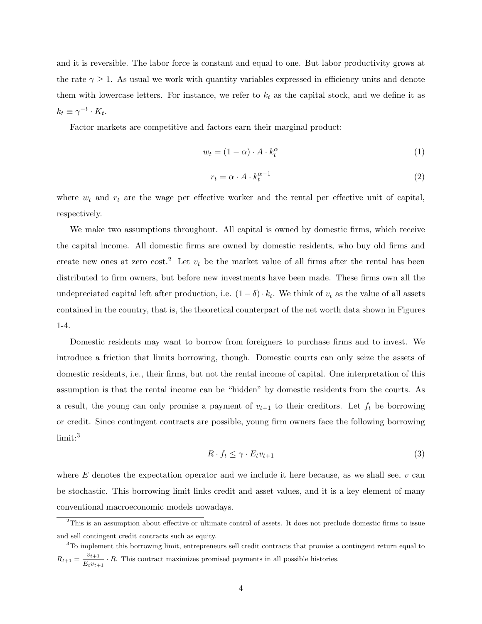and it is reversible. The labor force is constant and equal to one. But labor productivity grows at the rate  $\gamma \geq 1$ . As usual we work with quantity variables expressed in efficiency units and denote them with lowercase letters. For instance, we refer to  $k_t$  as the capital stock, and we define it as  $k_t \equiv \gamma^{-t} \cdot K_t.$ 

Factor markets are competitive and factors earn their marginal product:

$$
w_t = (1 - \alpha) \cdot A \cdot k_t^{\alpha} \tag{1}
$$

$$
r_t = \alpha \cdot A \cdot k_t^{\alpha - 1} \tag{2}
$$

where  $w_t$  and  $r_t$  are the wage per effective worker and the rental per effective unit of capital, respectively.

We make two assumptions throughout. All capital is owned by domestic firms, which receive the capital income. All domestic firms are owned by domestic residents, who buy old firms and create new ones at zero cost.<sup>2</sup> Let  $v_t$  be the market value of all firms after the rental has been distributed to firm owners, but before new investments have been made. These firms own all the undepreciated capital left after production, i.e.  $(1 - \delta) \cdot k_t$ . We think of  $v_t$  as the value of all assets contained in the country, that is, the theoretical counterpart of the net worth data shown in Figures 1-4.

Domestic residents may want to borrow from foreigners to purchase firms and to invest. We introduce a friction that limits borrowing, though. Domestic courts can only seize the assets of domestic residents, i.e., their firms, but not the rental income of capital. One interpretation of this assumption is that the rental income can be "hidden" by domestic residents from the courts. As a result, the young can only promise a payment of  $v_{t+1}$  to their creditors. Let  $f_t$  be borrowing or credit. Since contingent contracts are possible, young firm owners face the following borrowing limit:<sup>3</sup>

$$
R \cdot f_t \le \gamma \cdot E_t v_{t+1} \tag{3}
$$

where  $E$  denotes the expectation operator and we include it here because, as we shall see,  $v$  can be stochastic. This borrowing limit links credit and asset values, and it is a key element of many conventional macroeconomic models nowadays.

<sup>&</sup>lt;sup>2</sup>This is an assumption about effective or ultimate control of assets. It does not preclude domestic firms to issue and sell contingent credit contracts such as equity.

<sup>3</sup>To implement this borrowing limit, entrepreneurs sell credit contracts that promise a contingent return equal to  $R_{t+1} = \frac{v_{t+1}}{E}$  $\frac{v_{t+1}}{E_t v_{t+1}} \cdot R$ . This contract maximizes promised payments in all possible histories.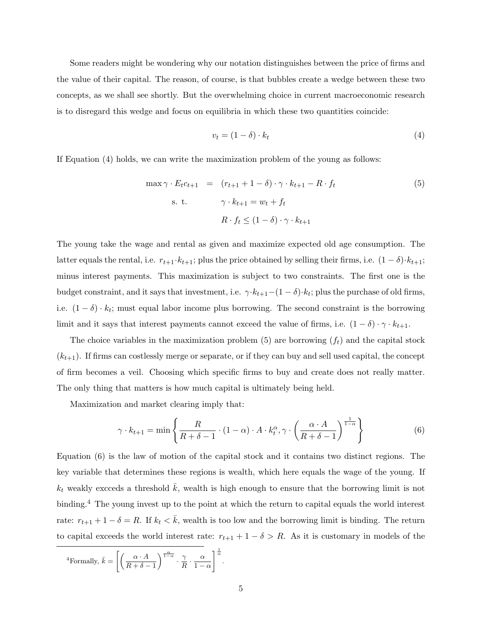Some readers might be wondering why our notation distinguishes between the price of firms and the value of their capital. The reason, of course, is that bubbles create a wedge between these two concepts, as we shall see shortly. But the overwhelming choice in current macroeconomic research is to disregard this wedge and focus on equilibria in which these two quantities coincide:

$$
v_t = (1 - \delta) \cdot k_t \tag{4}
$$

If Equation (4) holds, we can write the maximization problem of the young as follows:

$$
\max \gamma \cdot E_t c_{t+1} = (r_{t+1} + 1 - \delta) \cdot \gamma \cdot k_{t+1} - R \cdot f_t
$$
\n
$$
\text{s. t.} \qquad \gamma \cdot k_{t+1} = w_t + f_t
$$
\n
$$
R \cdot f_t \le (1 - \delta) \cdot \gamma \cdot k_{t+1}
$$
\n
$$
(5)
$$

The young take the wage and rental as given and maximize expected old age consumption. The latter equals the rental, i.e.  $r_{t+1}\cdot k_{t+1}$ ; plus the price obtained by selling their firms, i.e.  $(1 - \delta)\cdot k_{t+1}$ ; minus interest payments. This maximization is subject to two constraints. The first one is the budget constraint, and it says that investment, i.e.  $\gamma \cdot k_{t+1}-(1-\delta) \cdot k_t$ ; plus the purchase of old firms, i.e.  $(1 - \delta) \cdot k_t$ ; must equal labor income plus borrowing. The second constraint is the borrowing limit and it says that interest payments cannot exceed the value of firms, i.e.  $(1 - \delta) \cdot \gamma \cdot k_{t+1}$ .

The choice variables in the maximization problem  $(5)$  are borrowing  $(f_t)$  and the capital stock  $(k_{t+1})$ . If firms can costlessly merge or separate, or if they can buy and sell used capital, the concept of firm becomes a veil. Choosing which specific firms to buy and create does not really matter. The only thing that matters is how much capital is ultimately being held.

Maximization and market clearing imply that:

$$
\gamma \cdot k_{t+1} = \min \left\{ \frac{R}{R + \delta - 1} \cdot (1 - \alpha) \cdot A \cdot k_t^{\alpha}, \gamma \cdot \left( \frac{\alpha \cdot A}{R + \delta - 1} \right)^{\frac{1}{1 - \alpha}} \right\}
$$
(6)

Equation (6) is the law of motion of the capital stock and it contains two distinct regions. The key variable that determines these regions is wealth, which here equals the wage of the young. If  $k_t$  weakly excceds a threshold  $\bar{k}$ , wealth is high enough to ensure that the borrowing limit is not binding.<sup>4</sup> The young invest up to the point at which the return to capital equals the world interest rate:  $r_{t+1} + 1 - \delta = R$ . If  $k_t < \bar{k}$ , wealth is too low and the borrowing limit is binding. The return to capital exceeds the world interest rate:  $r_{t+1} + 1 - \delta > R$ . As it is customary in models of the

<sup>4</sup>Formally, 
$$
\bar{k} = \left[ \left( \frac{\alpha \cdot A}{R + \delta - 1} \right)^{\frac{\alpha}{1 - \alpha}} \cdot \frac{\gamma}{R} \cdot \frac{\alpha}{1 - \alpha} \right]^{\frac{1}{\alpha}}
$$
.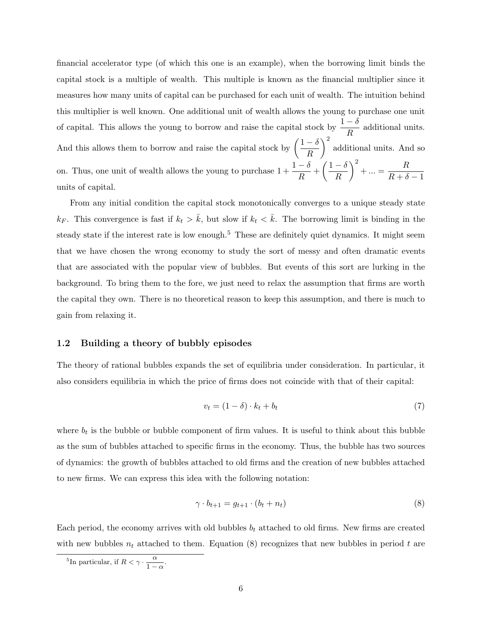financial accelerator type (of which this one is an example), when the borrowing limit binds the capital stock is a multiple of wealth. This multiple is known as the financial multiplier since it measures how many units of capital can be purchased for each unit of wealth. The intuition behind this multiplier is well known. One additional unit of wealth allows the young to purchase one unit of capital. This allows the young to borrow and raise the capital stock by  $\frac{1-\delta}{R}$  additional units. And this allows them to borrow and raise the capital stock by  $\left(\frac{1-\delta}{R}\right)$ R <sup>2</sup> additional units. And so on. Thus, one unit of wealth allows the young to purchase  $1 + \frac{1-\delta}{R} + \left(\frac{1-\delta}{R}\right)$ R  $\bigg)^2 + ... = \frac{R}{R}$  $R + \delta - 1$ units of capital.

From any initial condition the capital stock monotonically converges to a unique steady state  $k_F$ . This convergence is fast if  $k_t > \bar{k}$ , but slow if  $k_t < \bar{k}$ . The borrowing limit is binding in the steady state if the interest rate is low enough.<sup>5</sup> These are definitely quiet dynamics. It might seem that we have chosen the wrong economy to study the sort of messy and often dramatic events that are associated with the popular view of bubbles. But events of this sort are lurking in the background. To bring them to the fore, we just need to relax the assumption that firms are worth the capital they own. There is no theoretical reason to keep this assumption, and there is much to gain from relaxing it.

### 1.2 Building a theory of bubbly episodes

The theory of rational bubbles expands the set of equilibria under consideration. In particular, it also considers equilibria in which the price of firms does not coincide with that of their capital:

$$
v_t = (1 - \delta) \cdot k_t + b_t \tag{7}
$$

where  $b_t$  is the bubble or bubble component of firm values. It is useful to think about this bubble as the sum of bubbles attached to specific firms in the economy. Thus, the bubble has two sources of dynamics: the growth of bubbles attached to old firms and the creation of new bubbles attached to new firms. We can express this idea with the following notation:

$$
\gamma \cdot b_{t+1} = g_{t+1} \cdot (b_t + n_t) \tag{8}
$$

Each period, the economy arrives with old bubbles  $b_t$  attached to old firms. New firms are created with new bubbles  $n_t$  attached to them. Equation (8) recognizes that new bubbles in period t are

<sup>&</sup>lt;sup>5</sup>In particular, if  $R < \gamma \cdot \frac{\alpha}{1-\alpha}$  $\frac{a}{1-\alpha}$ .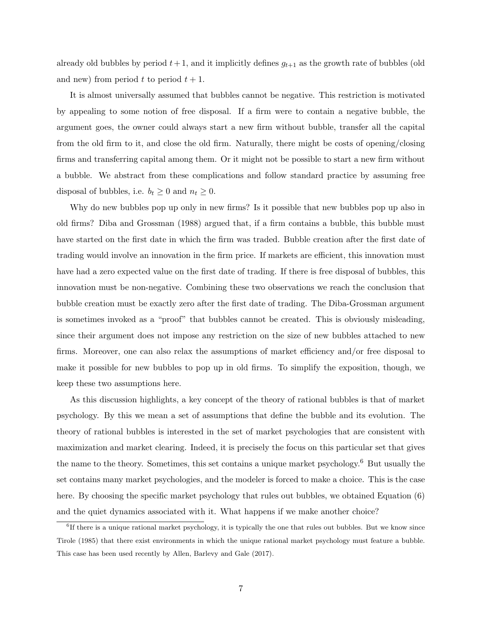already old bubbles by period  $t + 1$ , and it implicitly defines  $g_{t+1}$  as the growth rate of bubbles (old and new) from period t to period  $t + 1$ .

It is almost universally assumed that bubbles cannot be negative. This restriction is motivated by appealing to some notion of free disposal. If a firm were to contain a negative bubble, the argument goes, the owner could always start a new firm without bubble, transfer all the capital from the old firm to it, and close the old firm. Naturally, there might be costs of opening/closing firms and transferring capital among them. Or it might not be possible to start a new firm without a bubble. We abstract from these complications and follow standard practice by assuming free disposal of bubbles, i.e.  $b_t \geq 0$  and  $n_t \geq 0$ .

Why do new bubbles pop up only in new firms? Is it possible that new bubbles pop up also in old firms? Diba and Grossman (1988) argued that, if a firm contains a bubble, this bubble must have started on the first date in which the firm was traded. Bubble creation after the first date of trading would involve an innovation in the firm price. If markets are efficient, this innovation must have had a zero expected value on the first date of trading. If there is free disposal of bubbles, this innovation must be non-negative. Combining these two observations we reach the conclusion that bubble creation must be exactly zero after the first date of trading. The Diba-Grossman argument is sometimes invoked as a "proof" that bubbles cannot be created. This is obviously misleading, since their argument does not impose any restriction on the size of new bubbles attached to new firms. Moreover, one can also relax the assumptions of market efficiency and/or free disposal to make it possible for new bubbles to pop up in old firms. To simplify the exposition, though, we keep these two assumptions here.

As this discussion highlights, a key concept of the theory of rational bubbles is that of market psychology. By this we mean a set of assumptions that define the bubble and its evolution. The theory of rational bubbles is interested in the set of market psychologies that are consistent with maximization and market clearing. Indeed, it is precisely the focus on this particular set that gives the name to the theory. Sometimes, this set contains a unique market psychology.<sup>6</sup> But usually the set contains many market psychologies, and the modeler is forced to make a choice. This is the case here. By choosing the specific market psychology that rules out bubbles, we obtained Equation (6) and the quiet dynamics associated with it. What happens if we make another choice?

<sup>&</sup>lt;sup>6</sup>If there is a unique rational market psychology, it is typically the one that rules out bubbles. But we know since Tirole (1985) that there exist environments in which the unique rational market psychology must feature a bubble. This case has been used recently by Allen, Barlevy and Gale (2017).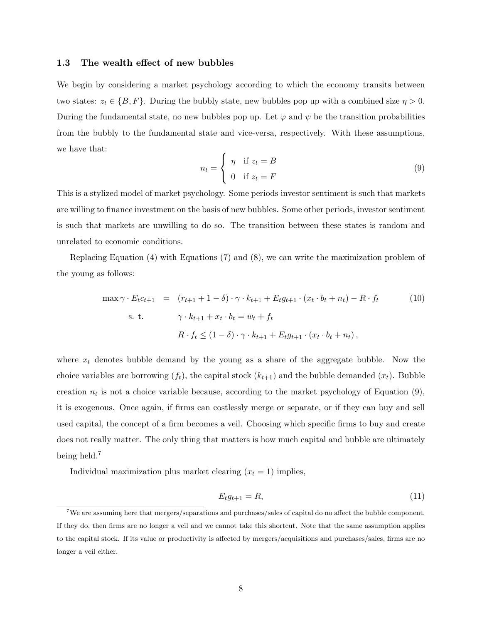#### 1.3 The wealth effect of new bubbles

We begin by considering a market psychology according to which the economy transits between two states:  $z_t \in \{B, F\}$ . During the bubbly state, new bubbles pop up with a combined size  $\eta > 0$ . During the fundamental state, no new bubbles pop up. Let  $\varphi$  and  $\psi$  be the transition probabilities from the bubbly to the fundamental state and vice-versa, respectively. With these assumptions, we have that:

$$
n_t = \begin{cases} \eta & \text{if } z_t = B \\ 0 & \text{if } z_t = F \end{cases}
$$
 (9)

This is a stylized model of market psychology. Some periods investor sentiment is such that markets are willing to finance investment on the basis of new bubbles. Some other periods, investor sentiment is such that markets are unwilling to do so. The transition between these states is random and unrelated to economic conditions.

Replacing Equation (4) with Equations (7) and (8), we can write the maximization problem of the young as follows:

$$
\max \gamma \cdot E_t c_{t+1} = (r_{t+1} + 1 - \delta) \cdot \gamma \cdot k_{t+1} + E_t g_{t+1} \cdot (x_t \cdot b_t + n_t) - R \cdot f_t
$$
\n
$$
\text{s. t.} \qquad \gamma \cdot k_{t+1} + x_t \cdot b_t = w_t + f_t
$$
\n
$$
R \cdot f_t \le (1 - \delta) \cdot \gamma \cdot k_{t+1} + E_t g_{t+1} \cdot (x_t \cdot b_t + n_t),
$$
\n
$$
(10)
$$

where  $x_t$  denotes bubble demand by the young as a share of the aggregate bubble. Now the choice variables are borrowing  $(f_t)$ , the capital stock  $(k_{t+1})$  and the bubble demanded  $(x_t)$ . Bubble creation  $n_t$  is not a choice variable because, according to the market psychology of Equation (9), it is exogenous. Once again, if firms can costlessly merge or separate, or if they can buy and sell used capital, the concept of a firm becomes a veil. Choosing which specific firms to buy and create does not really matter. The only thing that matters is how much capital and bubble are ultimately being held.<sup>7</sup>

Individual maximization plus market clearing  $(x_t = 1)$  implies,

$$
E_t g_{t+1} = R,\t\t(11)
$$

<sup>&</sup>lt;sup>7</sup>We are assuming here that mergers/separations and purchases/sales of capital do no affect the bubble component. If they do, then firms are no longer a veil and we cannot take this shortcut. Note that the same assumption applies to the capital stock. If its value or productivity is affected by mergers/acquisitions and purchases/sales, firms are no longer a veil either.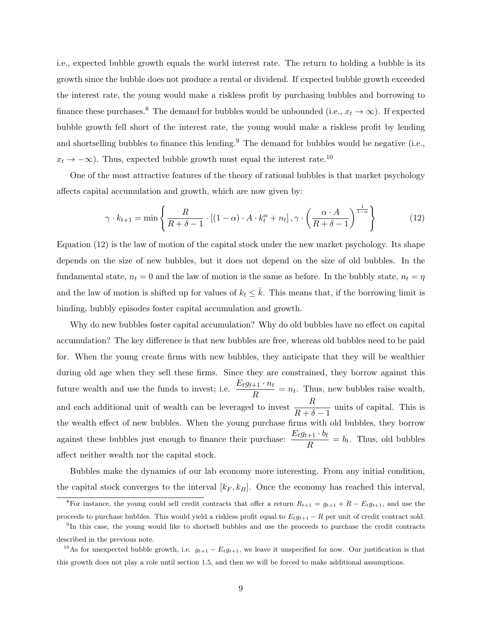i.e., expected bubble growth equals the world interest rate. The return to holding a bubble is its growth since the bubble does not produce a rental or dividend. If expected bubble growth exceeded the interest rate, the young would make a riskless profit by purchasing bubbles and borrowing to finance these purchases.<sup>8</sup> The demand for bubbles would be unbounded (i.e.,  $x_t \to \infty$ ). If expected bubble growth fell short of the interest rate, the young would make a riskless profit by lending and shortselling bubbles to finance this lending.<sup>9</sup> The demand for bubbles would be negative (i.e.,  $x_t \to -\infty$ ). Thus, expected bubble growth must equal the interest rate.<sup>10</sup>

One of the most attractive features of the theory of rational bubbles is that market psychology affects capital accumulation and growth, which are now given by:

$$
\gamma \cdot k_{t+1} = \min \left\{ \frac{R}{R + \delta - 1} \cdot \left[ (1 - \alpha) \cdot A \cdot k_t^{\alpha} + n_t \right], \gamma \cdot \left( \frac{\alpha \cdot A}{R + \delta - 1} \right)^{\frac{1}{1 - \alpha}} \right\}
$$
(12)

Equation (12) is the law of motion of the capital stock under the new market psychology. Its shape depends on the size of new bubbles, but it does not depend on the size of old bubbles. In the fundamental state,  $n_t = 0$  and the law of motion is the same as before. In the bubbly state,  $n_t = \eta$ and the law of motion is shifted up for values of  $k_t \leq \bar{k}$ . This means that, if the borrowing limit is binding, bubbly episodes foster capital accumulation and growth.

Why do new bubbles foster capital accumulation? Why do old bubbles have no effect on capital accumulation? The key difference is that new bubbles are free, whereas old bubbles need to be paid for. When the young create firms with new bubbles, they anticipate that they will be wealthier during old age when they sell these firms. Since they are constrained, they borrow against this future wealth and use the funds to invest; i.e.  $\frac{E_t g_{t+1} \cdot n_t}{R} = n_t$ . Thus, new bubbles raise wealth, and each additional unit of wealth can be leveraged to invest  $\frac{R}{R+\delta-1}$  units of capital. This is the wealth effect of new bubbles. When the young purchase firms with old bubbles, they borrow against these bubbles just enough to finance their purchase:  $\frac{E_t g_{t+1} \cdot b_t}{R} = b_t$ . Thus, old bubbles affect neither wealth nor the capital stock.

Bubbles make the dynamics of our lab economy more interesting. From any initial condition, the capital stock converges to the interval  $[k_F, k_B]$ . Once the economy has reached this interval,

<sup>&</sup>lt;sup>8</sup>For instance, the young could sell credit contracts that offer a return  $R_{t+1} = g_{t+1} + R - E_t g_{t+1}$ , and use the proceeds to purchase bubbles. This would yield a riskless profit equal to  $E_t g_{t+1} - R$  per unit of credit contract sold.

<sup>&</sup>lt;sup>9</sup>In this case, the young would like to shortsell bubbles and use the proceeds to purchase the credit contracts described in the previous note.

<sup>&</sup>lt;sup>10</sup>As for unexpected bubble growth, i.e.  $g_{t+1} - E_t g_{t+1}$ , we leave it unspecified for now. Our justification is that this growth does not play a role until section 1.5, and then we will be forced to make additional assumptions.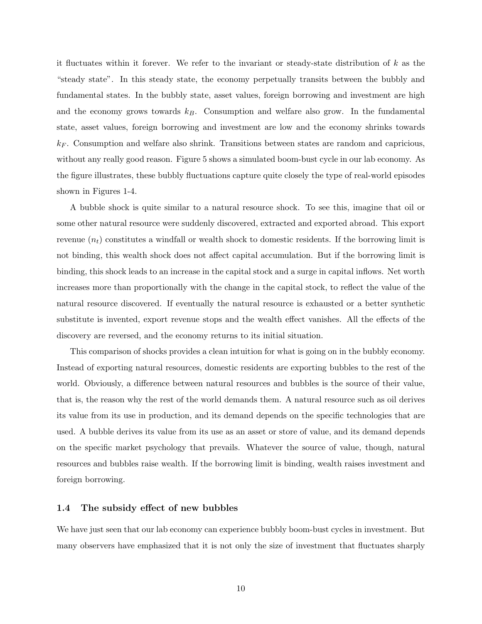it fluctuates within it forever. We refer to the invariant or steady-state distribution of  $k$  as the "steady state". In this steady state, the economy perpetually transits between the bubbly and fundamental states. In the bubbly state, asset values, foreign borrowing and investment are high and the economy grows towards  $k_B$ . Consumption and welfare also grow. In the fundamental state, asset values, foreign borrowing and investment are low and the economy shrinks towards  $k_F$ . Consumption and welfare also shrink. Transitions between states are random and capricious, without any really good reason. Figure 5 shows a simulated boom-bust cycle in our lab economy. As the figure illustrates, these bubbly fluctuations capture quite closely the type of real-world episodes shown in Figures 1-4.

A bubble shock is quite similar to a natural resource shock. To see this, imagine that oil or some other natural resource were suddenly discovered, extracted and exported abroad. This export revenue  $(n_t)$  constitutes a windfall or wealth shock to domestic residents. If the borrowing limit is not binding, this wealth shock does not affect capital accumulation. But if the borrowing limit is binding, this shock leads to an increase in the capital stock and a surge in capital inflows. Net worth increases more than proportionally with the change in the capital stock, to reflect the value of the natural resource discovered. If eventually the natural resource is exhausted or a better synthetic substitute is invented, export revenue stops and the wealth effect vanishes. All the effects of the discovery are reversed, and the economy returns to its initial situation.

This comparison of shocks provides a clean intuition for what is going on in the bubbly economy. Instead of exporting natural resources, domestic residents are exporting bubbles to the rest of the world. Obviously, a difference between natural resources and bubbles is the source of their value, that is, the reason why the rest of the world demands them. A natural resource such as oil derives its value from its use in production, and its demand depends on the specific technologies that are used. A bubble derives its value from its use as an asset or store of value, and its demand depends on the specific market psychology that prevails. Whatever the source of value, though, natural resources and bubbles raise wealth. If the borrowing limit is binding, wealth raises investment and foreign borrowing.

### 1.4 The subsidy effect of new bubbles

We have just seen that our lab economy can experience bubbly boom-bust cycles in investment. But many observers have emphasized that it is not only the size of investment that fluctuates sharply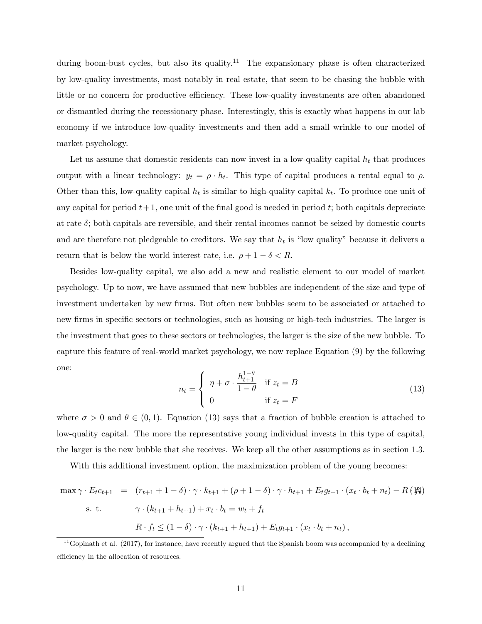during boom-bust cycles, but also its quality.<sup>11</sup> The expansionary phase is often characterized by low-quality investments, most notably in real estate, that seem to be chasing the bubble with little or no concern for productive efficiency. These low-quality investments are often abandoned or dismantled during the recessionary phase. Interestingly, this is exactly what happens in our lab economy if we introduce low-quality investments and then add a small wrinkle to our model of market psychology.

Let us assume that domestic residents can now invest in a low-quality capital  $h_t$  that produces output with a linear technology:  $y_t = \rho \cdot h_t$ . This type of capital produces a rental equal to  $\rho$ . Other than this, low-quality capital  $h_t$  is similar to high-quality capital  $k_t$ . To produce one unit of any capital for period  $t+1$ , one unit of the final good is needed in period t; both capitals depreciate at rate  $\delta$ ; both capitals are reversible, and their rental incomes cannot be seized by domestic courts and are therefore not pledgeable to creditors. We say that  $h_t$  is "low quality" because it delivers a return that is below the world interest rate, i.e.  $\rho + 1 - \delta < R$ .

Besides low-quality capital, we also add a new and realistic element to our model of market psychology. Up to now, we have assumed that new bubbles are independent of the size and type of investment undertaken by new firms. But often new bubbles seem to be associated or attached to new firms in specific sectors or technologies, such as housing or high-tech industries. The larger is the investment that goes to these sectors or technologies, the larger is the size of the new bubble. To capture this feature of real-world market psychology, we now replace Equation (9) by the following one:

$$
n_t = \begin{cases} \eta + \sigma \cdot \frac{h_{t+1}^{1-\theta}}{1-\theta} & \text{if } z_t = B \\ 0 & \text{if } z_t = F \end{cases}
$$
(13)

where  $\sigma > 0$  and  $\theta \in (0, 1)$ . Equation (13) says that a fraction of bubble creation is attached to low-quality capital. The more the representative young individual invests in this type of capital, the larger is the new bubble that she receives. We keep all the other assumptions as in section 1.3.

With this additional investment option, the maximization problem of the young becomes:

$$
\max \gamma \cdot E_t c_{t+1} = (r_{t+1} + 1 - \delta) \cdot \gamma \cdot k_{t+1} + (\rho + 1 - \delta) \cdot \gamma \cdot h_{t+1} + E_t g_{t+1} \cdot (x_t \cdot b_t + n_t) - R(\mathcal{H})
$$
  
s. t. 
$$
\gamma \cdot (k_{t+1} + h_{t+1}) + x_t \cdot b_t = w_t + f_t
$$

$$
R \cdot f_t \le (1 - \delta) \cdot \gamma \cdot (k_{t+1} + h_{t+1}) + E_t g_{t+1} \cdot (x_t \cdot b_t + n_t),
$$

 $11$ Gopinath et al. (2017), for instance, have recently argued that the Spanish boom was accompanied by a declining efficiency in the allocation of resources.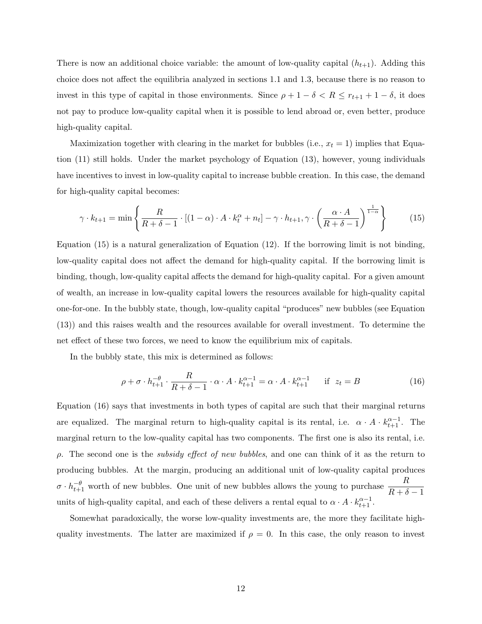There is now an additional choice variable: the amount of low-quality capital  $(h_{t+1})$ . Adding this choice does not affect the equilibria analyzed in sections 1.1 and 1.3, because there is no reason to invest in this type of capital in those environments. Since  $\rho + 1 - \delta < R \leq r_{t+1} + 1 - \delta$ , it does not pay to produce low-quality capital when it is possible to lend abroad or, even better, produce high-quality capital.

Maximization together with clearing in the market for bubbles (i.e.,  $x_t = 1$ ) implies that Equation (11) still holds. Under the market psychology of Equation (13), however, young individuals have incentives to invest in low-quality capital to increase bubble creation. In this case, the demand for high-quality capital becomes:

$$
\gamma \cdot k_{t+1} = \min \left\{ \frac{R}{R + \delta - 1} \cdot \left[ (1 - \alpha) \cdot A \cdot k_t^{\alpha} + n_t \right] - \gamma \cdot h_{t+1}, \gamma \cdot \left( \frac{\alpha \cdot A}{R + \delta - 1} \right)^{\frac{1}{1 - \alpha}} \right\} \tag{15}
$$

Equation (15) is a natural generalization of Equation (12). If the borrowing limit is not binding, low-quality capital does not affect the demand for high-quality capital. If the borrowing limit is binding, though, low-quality capital affects the demand for high-quality capital. For a given amount of wealth, an increase in low-quality capital lowers the resources available for high-quality capital one-for-one. In the bubbly state, though, low-quality capital "produces" new bubbles (see Equation (13)) and this raises wealth and the resources available for overall investment. To determine the net effect of these two forces, we need to know the equilibrium mix of capitals.

In the bubbly state, this mix is determined as follows:

$$
\rho + \sigma \cdot h_{t+1}^{-\theta} \cdot \frac{R}{R + \delta - 1} \cdot \alpha \cdot A \cdot k_{t+1}^{\alpha - 1} = \alpha \cdot A \cdot k_{t+1}^{\alpha - 1} \quad \text{if } z_t = B
$$
 (16)

Equation (16) says that investments in both types of capital are such that their marginal returns are equalized. The marginal return to high-quality capital is its rental, i.e.  $\alpha \cdot A \cdot k_{t+1}^{\alpha-1}$ . The marginal return to the low-quality capital has two components. The first one is also its rental, i.e.  $\rho$ . The second one is the *subsidy effect of new bubbles*, and one can think of it as the return to producing bubbles. At the margin, producing an additional unit of low-quality capital produces  $\sigma \cdot h_{t+1}^{-\theta}$  worth of new bubbles. One unit of new bubbles allows the young to purchase  $\frac{R}{R+\delta-1}$ units of high-quality capital, and each of these delivers a rental equal to  $\alpha \cdot A \cdot k_{t+1}^{\alpha-1}$ .

Somewhat paradoxically, the worse low-quality investments are, the more they facilitate highquality investments. The latter are maximized if  $\rho = 0$ . In this case, the only reason to invest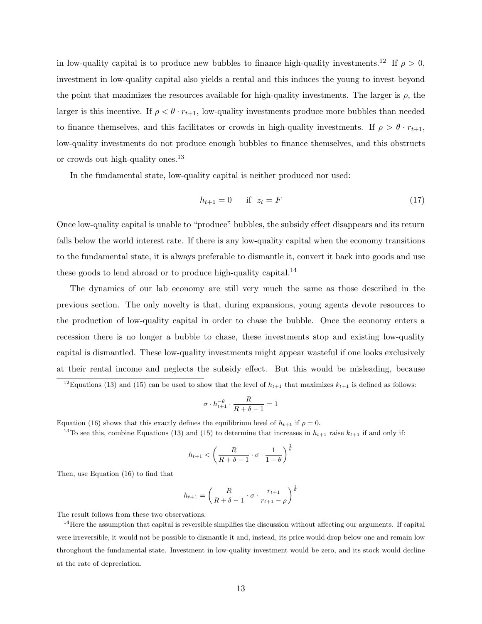in low-quality capital is to produce new bubbles to finance high-quality investments.<sup>12</sup> If  $\rho > 0$ , investment in low-quality capital also yields a rental and this induces the young to invest beyond the point that maximizes the resources available for high-quality investments. The larger is  $\rho$ , the larger is this incentive. If  $\rho < \theta \cdot r_{t+1}$ , low-quality investments produce more bubbles than needed to finance themselves, and this facilitates or crowds in high-quality investments. If  $\rho > \theta \cdot r_{t+1}$ , low-quality investments do not produce enough bubbles to finance themselves, and this obstructs or crowds out high-quality ones.<sup>13</sup>

In the fundamental state, low-quality capital is neither produced nor used:

$$
h_{t+1} = 0 \quad \text{if } z_t = F \tag{17}
$$

Once low-quality capital is unable to "produce" bubbles, the subsidy effect disappears and its return falls below the world interest rate. If there is any low-quality capital when the economy transitions to the fundamental state, it is always preferable to dismantle it, convert it back into goods and use these goods to lend abroad or to produce high-quality capital.<sup>14</sup>

The dynamics of our lab economy are still very much the same as those described in the previous section. The only novelty is that, during expansions, young agents devote resources to the production of low-quality capital in order to chase the bubble. Once the economy enters a recession there is no longer a bubble to chase, these investments stop and existing low-quality capital is dismantled. These low-quality investments might appear wasteful if one looks exclusively at their rental income and neglects the subsidy effect. But this would be misleading, because

$$
\sigma\cdot h_{t+1}^{-\theta}\cdot\frac{R}{R+\delta-1}=1
$$

Equation (16) shows that this exactly defines the equilibrium level of  $h_{t+1}$  if  $\rho = 0$ .

<sup>13</sup>To see this, combine Equations (13) and (15) to determine that increases in  $h_{t+1}$  raise  $k_{t+1}$  if and only if:

$$
h_{t+1} < \left(\frac{R}{R+\delta-1} \cdot \sigma \cdot \frac{1}{1-\theta}\right)^{\frac{1}{\theta}}
$$

Then, use Equation (16) to find that

$$
h_{t+1} = \left(\frac{R}{R+\delta-1} \cdot \sigma \cdot \frac{r_{t+1}}{r_{t+1}-\rho}\right)^{\frac{1}{\theta}}
$$

The result follows from these two observations.

 $14$ Here the assumption that capital is reversible simplifies the discussion without affecting our arguments. If capital were irreversible, it would not be possible to dismantle it and, instead, its price would drop below one and remain low throughout the fundamental state. Investment in low-quality investment would be zero, and its stock would decline at the rate of depreciation.

<sup>&</sup>lt;sup>12</sup>Equations (13) and (15) can be used to show that the level of  $h_{t+1}$  that maximizes  $k_{t+1}$  is defined as follows: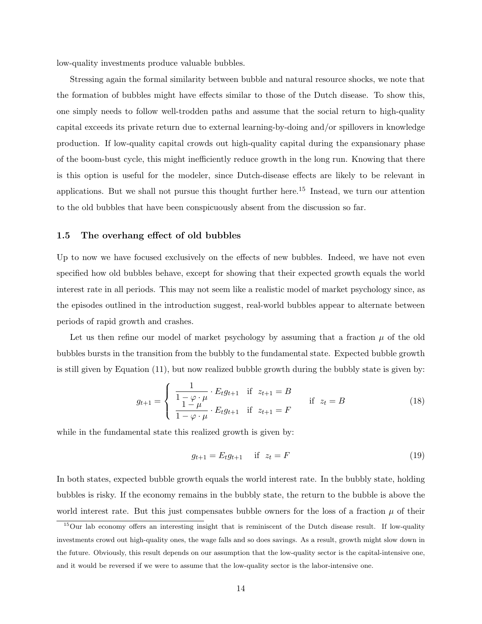low-quality investments produce valuable bubbles.

Stressing again the formal similarity between bubble and natural resource shocks, we note that the formation of bubbles might have effects similar to those of the Dutch disease. To show this, one simply needs to follow well-trodden paths and assume that the social return to high-quality capital exceeds its private return due to external learning-by-doing and/or spillovers in knowledge production. If low-quality capital crowds out high-quality capital during the expansionary phase of the boom-bust cycle, this might inefficiently reduce growth in the long run. Knowing that there is this option is useful for the modeler, since Dutch-disease effects are likely to be relevant in applications. But we shall not pursue this thought further here.<sup>15</sup> Instead, we turn our attention to the old bubbles that have been conspicuously absent from the discussion so far.

### 1.5 The overhang effect of old bubbles

Up to now we have focused exclusively on the effects of new bubbles. Indeed, we have not even specified how old bubbles behave, except for showing that their expected growth equals the world interest rate in all periods. This may not seem like a realistic model of market psychology since, as the episodes outlined in the introduction suggest, real-world bubbles appear to alternate between periods of rapid growth and crashes.

Let us then refine our model of market psychology by assuming that a fraction  $\mu$  of the old bubbles bursts in the transition from the bubbly to the fundamental state. Expected bubble growth is still given by Equation (11), but now realized bubble growth during the bubbly state is given by:

$$
g_{t+1} = \begin{cases} \frac{1}{1 - \varphi \cdot \mu} \cdot E_t g_{t+1} & \text{if } z_{t+1} = B \\ \frac{1 - \mu}{1 - \varphi \cdot \mu} \cdot E_t g_{t+1} & \text{if } z_{t+1} = F \end{cases} \quad \text{if } z_t = B \tag{18}
$$

while in the fundamental state this realized growth is given by:

$$
g_{t+1} = E_t g_{t+1} \quad \text{if } z_t = F \tag{19}
$$

In both states, expected bubble growth equals the world interest rate. In the bubbly state, holding bubbles is risky. If the economy remains in the bubbly state, the return to the bubble is above the world interest rate. But this just compensates bubble owners for the loss of a fraction  $\mu$  of their

<sup>&</sup>lt;sup>15</sup>Our lab economy offers an interesting insight that is reminiscent of the Dutch disease result. If low-quality investments crowd out high-quality ones, the wage falls and so does savings. As a result, growth might slow down in the future. Obviously, this result depends on our assumption that the low-quality sector is the capital-intensive one, and it would be reversed if we were to assume that the low-quality sector is the labor-intensive one.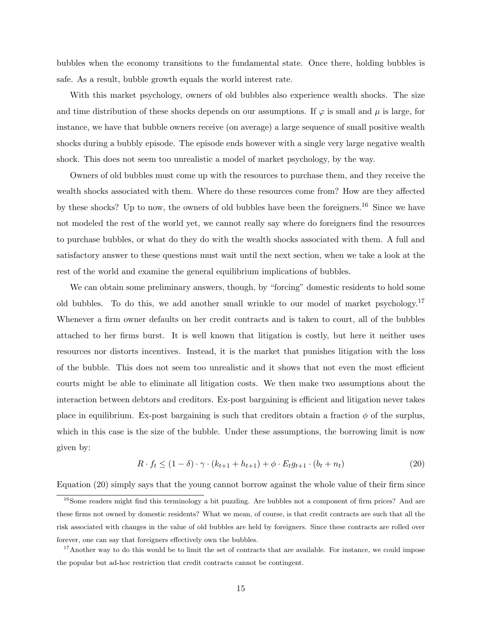bubbles when the economy transitions to the fundamental state. Once there, holding bubbles is safe. As a result, bubble growth equals the world interest rate.

With this market psychology, owners of old bubbles also experience wealth shocks. The size and time distribution of these shocks depends on our assumptions. If  $\varphi$  is small and  $\mu$  is large, for instance, we have that bubble owners receive (on average) a large sequence of small positive wealth shocks during a bubbly episode. The episode ends however with a single very large negative wealth shock. This does not seem too unrealistic a model of market psychology, by the way.

Owners of old bubbles must come up with the resources to purchase them, and they receive the wealth shocks associated with them. Where do these resources come from? How are they affected by these shocks? Up to now, the owners of old bubbles have been the foreigners.<sup>16</sup> Since we have not modeled the rest of the world yet, we cannot really say where do foreigners find the resources to purchase bubbles, or what do they do with the wealth shocks associated with them. A full and satisfactory answer to these questions must wait until the next section, when we take a look at the rest of the world and examine the general equilibrium implications of bubbles.

We can obtain some preliminary answers, though, by "forcing" domestic residents to hold some old bubbles. To do this, we add another small wrinkle to our model of market psychology.<sup>17</sup> Whenever a firm owner defaults on her credit contracts and is taken to court, all of the bubbles attached to her firms burst. It is well known that litigation is costly, but here it neither uses resources nor distorts incentives. Instead, it is the market that punishes litigation with the loss of the bubble. This does not seem too unrealistic and it shows that not even the most efficient courts might be able to eliminate all litigation costs. We then make two assumptions about the interaction between debtors and creditors. Ex-post bargaining is efficient and litigation never takes place in equilibrium. Ex-post bargaining is such that creditors obtain a fraction  $\phi$  of the surplus, which in this case is the size of the bubble. Under these assumptions, the borrowing limit is now given by:

$$
R \cdot f_t \le (1 - \delta) \cdot \gamma \cdot (k_{t+1} + h_{t+1}) + \phi \cdot E_t g_{t+1} \cdot (b_t + n_t) \tag{20}
$$

Equation (20) simply says that the young cannot borrow against the whole value of their firm since

<sup>&</sup>lt;sup>16</sup>Some readers might find this terminology a bit puzzling. Are bubbles not a component of firm prices? And are these firms not owned by domestic residents? What we mean, of course, is that credit contracts are such that all the risk associated with changes in the value of old bubbles are held by foreigners. Since these contracts are rolled over forever, one can say that foreigners effectively own the bubbles.

 $17$ Another way to do this would be to limit the set of contracts that are available. For instance, we could impose the popular but ad-hoc restriction that credit contracts cannot be contingent.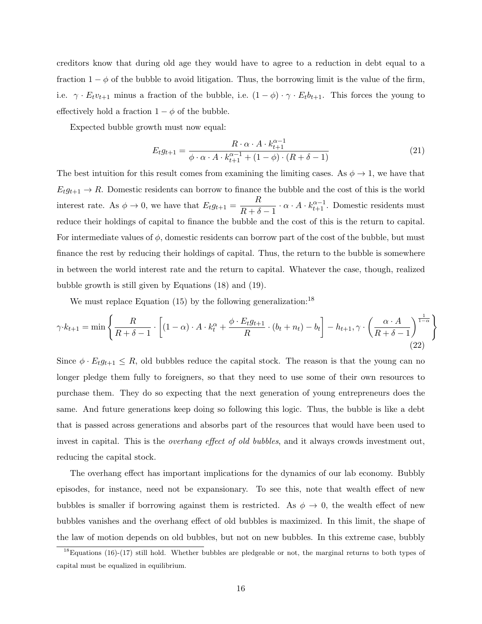creditors know that during old age they would have to agree to a reduction in debt equal to a fraction  $1 - \phi$  of the bubble to avoid litigation. Thus, the borrowing limit is the value of the firm, i.e.  $\gamma \cdot E_t v_{t+1}$  minus a fraction of the bubble, i.e.  $(1 - \phi) \cdot \gamma \cdot E_t b_{t+1}$ . This forces the young to effectively hold a fraction  $1 - \phi$  of the bubble.

Expected bubble growth must now equal:

$$
E_t g_{t+1} = \frac{R \cdot \alpha \cdot A \cdot k_{t+1}^{\alpha - 1}}{\phi \cdot \alpha \cdot A \cdot k_{t+1}^{\alpha - 1} + (1 - \phi) \cdot (R + \delta - 1)}
$$
(21)

The best intuition for this result comes from examining the limiting cases. As  $\phi \to 1$ , we have that  $E_t g_{t+1} \to R$ . Domestic residents can borrow to finance the bubble and the cost of this is the world interest rate. As  $\phi \to 0$ , we have that  $E_t g_{t+1} = \frac{R}{R}$  $\frac{R}{R+\delta-1} \cdot \alpha \cdot A \cdot k_{t+1}^{\alpha-1}$ . Domestic residents must reduce their holdings of capital to finance the bubble and the cost of this is the return to capital. For intermediate values of  $\phi$ , domestic residents can borrow part of the cost of the bubble, but must finance the rest by reducing their holdings of capital. Thus, the return to the bubble is somewhere in between the world interest rate and the return to capital. Whatever the case, though, realized bubble growth is still given by Equations (18) and (19).

We must replace Equation  $(15)$  by the following generalization:<sup>18</sup>

$$
\gamma \cdot k_{t+1} = \min \left\{ \frac{R}{R+\delta-1} \cdot \left[ (1-\alpha) \cdot A \cdot k_t^{\alpha} + \frac{\phi \cdot E_t g_{t+1}}{R} \cdot (b_t + n_t) - b_t \right] - h_{t+1}, \gamma \cdot \left( \frac{\alpha \cdot A}{R+\delta-1} \right)^{\frac{1}{1-\alpha}} \right\}
$$
(22)

Since  $\phi \cdot E_t g_{t+1} \leq R$ , old bubbles reduce the capital stock. The reason is that the young can no longer pledge them fully to foreigners, so that they need to use some of their own resources to purchase them. They do so expecting that the next generation of young entrepreneurs does the same. And future generations keep doing so following this logic. Thus, the bubble is like a debt that is passed across generations and absorbs part of the resources that would have been used to invest in capital. This is the *overhang effect of old bubbles*, and it always crowds investment out, reducing the capital stock.

The overhang effect has important implications for the dynamics of our lab economy. Bubbly episodes, for instance, need not be expansionary. To see this, note that wealth effect of new bubbles is smaller if borrowing against them is restricted. As  $\phi \to 0$ , the wealth effect of new bubbles vanishes and the overhang effect of old bubbles is maximized. In this limit, the shape of the law of motion depends on old bubbles, but not on new bubbles. In this extreme case, bubbly

 $18$ Equations (16)-(17) still hold. Whether bubbles are pledgeable or not, the marginal returns to both types of capital must be equalized in equilibrium.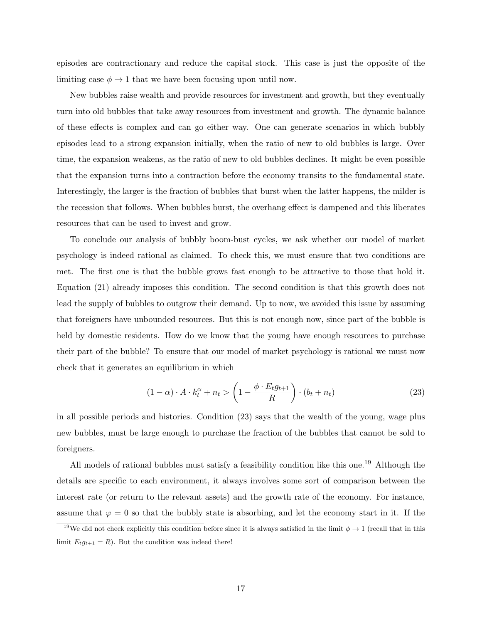episodes are contractionary and reduce the capital stock. This case is just the opposite of the limiting case  $\phi \rightarrow 1$  that we have been focusing upon until now.

New bubbles raise wealth and provide resources for investment and growth, but they eventually turn into old bubbles that take away resources from investment and growth. The dynamic balance of these effects is complex and can go either way. One can generate scenarios in which bubbly episodes lead to a strong expansion initially, when the ratio of new to old bubbles is large. Over time, the expansion weakens, as the ratio of new to old bubbles declines. It might be even possible that the expansion turns into a contraction before the economy transits to the fundamental state. Interestingly, the larger is the fraction of bubbles that burst when the latter happens, the milder is the recession that follows. When bubbles burst, the overhang effect is dampened and this liberates resources that can be used to invest and grow.

To conclude our analysis of bubbly boom-bust cycles, we ask whether our model of market psychology is indeed rational as claimed. To check this, we must ensure that two conditions are met. The first one is that the bubble grows fast enough to be attractive to those that hold it. Equation (21) already imposes this condition. The second condition is that this growth does not lead the supply of bubbles to outgrow their demand. Up to now, we avoided this issue by assuming that foreigners have unbounded resources. But this is not enough now, since part of the bubble is held by domestic residents. How do we know that the young have enough resources to purchase their part of the bubble? To ensure that our model of market psychology is rational we must now check that it generates an equilibrium in which

$$
(1 - \alpha) \cdot A \cdot k_t^{\alpha} + n_t > \left(1 - \frac{\phi \cdot E_t g_{t+1}}{R}\right) \cdot (b_t + n_t)
$$
\n(23)

in all possible periods and histories. Condition (23) says that the wealth of the young, wage plus new bubbles, must be large enough to purchase the fraction of the bubbles that cannot be sold to foreigners.

All models of rational bubbles must satisfy a feasibility condition like this one.<sup>19</sup> Although the details are specific to each environment, it always involves some sort of comparison between the interest rate (or return to the relevant assets) and the growth rate of the economy. For instance, assume that  $\varphi = 0$  so that the bubbly state is absorbing, and let the economy start in it. If the

<sup>&</sup>lt;sup>19</sup>We did not check explicitly this condition before since it is always satisfied in the limit  $\phi \rightarrow 1$  (recall that in this limit  $E_t g_{t+1} = R$ ). But the condition was indeed there!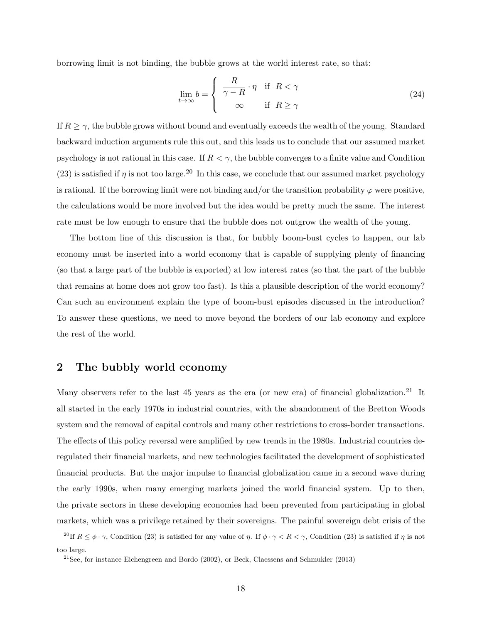borrowing limit is not binding, the bubble grows at the world interest rate, so that:

$$
\lim_{t \to \infty} b = \begin{cases} \frac{R}{\gamma - R} \cdot \eta & \text{if } R < \gamma \\ \infty & \text{if } R \ge \gamma \end{cases}
$$
 (24)

If  $R \geq \gamma$ , the bubble grows without bound and eventually exceeds the wealth of the young. Standard backward induction arguments rule this out, and this leads us to conclude that our assumed market psychology is not rational in this case. If  $R < \gamma$ , the bubble converges to a finite value and Condition (23) is satisfied if  $\eta$  is not too large.<sup>20</sup> In this case, we conclude that our assumed market psychology is rational. If the borrowing limit were not binding and/or the transition probability  $\varphi$  were positive, the calculations would be more involved but the idea would be pretty much the same. The interest rate must be low enough to ensure that the bubble does not outgrow the wealth of the young.

The bottom line of this discussion is that, for bubbly boom-bust cycles to happen, our lab economy must be inserted into a world economy that is capable of supplying plenty of financing (so that a large part of the bubble is exported) at low interest rates (so that the part of the bubble that remains at home does not grow too fast). Is this a plausible description of the world economy? Can such an environment explain the type of boom-bust episodes discussed in the introduction? To answer these questions, we need to move beyond the borders of our lab economy and explore the rest of the world.

# 2 The bubbly world economy

Many observers refer to the last 45 years as the era (or new era) of financial globalization.<sup>21</sup> It all started in the early 1970s in industrial countries, with the abandonment of the Bretton Woods system and the removal of capital controls and many other restrictions to cross-border transactions. The effects of this policy reversal were amplified by new trends in the 1980s. Industrial countries deregulated their financial markets, and new technologies facilitated the development of sophisticated financial products. But the major impulse to financial globalization came in a second wave during the early 1990s, when many emerging markets joined the world financial system. Up to then, the private sectors in these developing economies had been prevented from participating in global markets, which was a privilege retained by their sovereigns. The painful sovereign debt crisis of the

<sup>&</sup>lt;sup>20</sup>If  $R \le \phi \cdot \gamma$ , Condition (23) is satisfied for any value of  $\eta$ . If  $\phi \cdot \gamma < R < \gamma$ , Condition (23) is satisfied if  $\eta$  is not too large.

<sup>&</sup>lt;sup>21</sup>See, for instance Eichengreen and Bordo  $(2002)$ , or Beck, Claessens and Schmukler  $(2013)$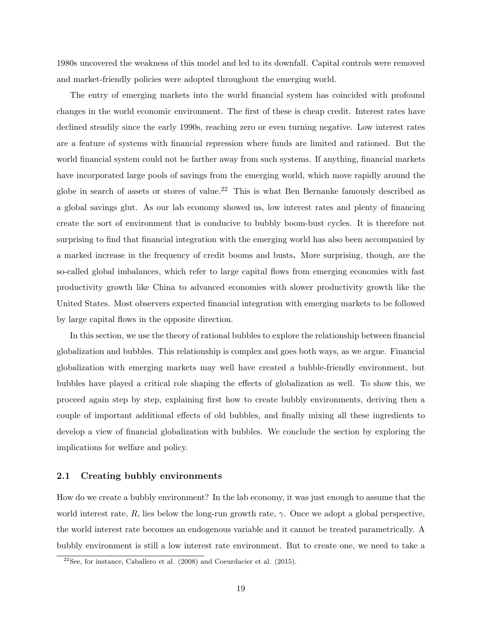1980s uncovered the weakness of this model and led to its downfall. Capital controls were removed and market-friendly policies were adopted throughout the emerging world.

The entry of emerging markets into the world financial system has coincided with profound changes in the world economic environment. The first of these is cheap credit. Interest rates have declined steadily since the early 1990s, reaching zero or even turning negative. Low interest rates are a feature of systems with financial repression where funds are limited and rationed. But the world financial system could not be farther away from such systems. If anything, financial markets have incorporated large pools of savings from the emerging world, which move rapidly around the globe in search of assets or stores of value.<sup>22</sup> This is what Ben Bernanke famously described as a global savings glut. As our lab economy showed us, low interest rates and plenty of financing create the sort of environment that is conducive to bubbly boom-bust cycles. It is therefore not surprising to find that financial integration with the emerging world has also been accompanied by a marked increase in the frequency of credit booms and busts. More surprising, though, are the so-called global imbalances, which refer to large capital flows from emerging economies with fast productivity growth like China to advanced economies with slower productivity growth like the United States. Most observers expected financial integration with emerging markets to be followed by large capital flows in the opposite direction.

In this section, we use the theory of rational bubbles to explore the relationship between financial globalization and bubbles. This relationship is complex and goes both ways, as we argue. Financial globalization with emerging markets may well have created a bubble-friendly environment, but bubbles have played a critical role shaping the effects of globalization as well. To show this, we proceed again step by step, explaining first how to create bubbly environments, deriving then a couple of important additional effects of old bubbles, and finally mixing all these ingredients to develop a view of financial globalization with bubbles. We conclude the section by exploring the implications for welfare and policy.

### 2.1 Creating bubbly environments

How do we create a bubbly environment? In the lab economy, it was just enough to assume that the world interest rate, R, lies below the long-run growth rate,  $\gamma$ . Once we adopt a global perspective, the world interest rate becomes an endogenous variable and it cannot be treated parametrically. A bubbly environment is still a low interest rate environment. But to create one, we need to take a

 $22$ See, for instance, Caballero et al. (2008) and Coeurdacier et al. (2015).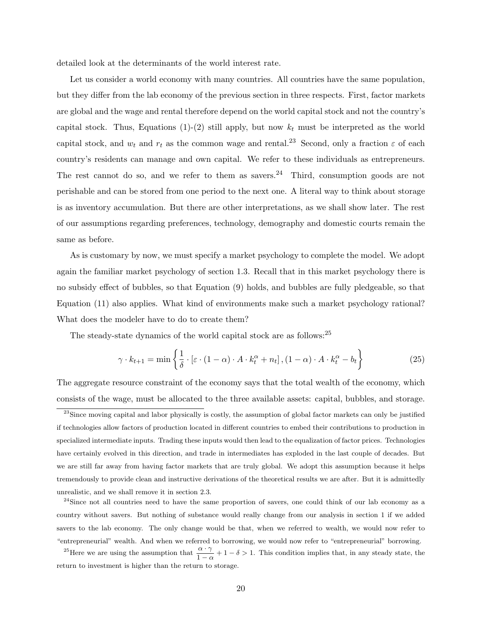detailed look at the determinants of the world interest rate.

Let us consider a world economy with many countries. All countries have the same population, but they differ from the lab economy of the previous section in three respects. First, factor markets are global and the wage and rental therefore depend on the world capital stock and not the country's capital stock. Thus, Equations (1)-(2) still apply, but now  $k_t$  must be interpreted as the world capital stock, and  $w_t$  and  $r_t$  as the common wage and rental.<sup>23</sup> Second, only a fraction  $\varepsilon$  of each country's residents can manage and own capital. We refer to these individuals as entrepreneurs. The rest cannot do so, and we refer to them as savers.<sup>24</sup> Third, consumption goods are not perishable and can be stored from one period to the next one. A literal way to think about storage is as inventory accumulation. But there are other interpretations, as we shall show later. The rest of our assumptions regarding preferences, technology, demography and domestic courts remain the same as before.

As is customary by now, we must specify a market psychology to complete the model. We adopt again the familiar market psychology of section 1.3. Recall that in this market psychology there is no subsidy effect of bubbles, so that Equation (9) holds, and bubbles are fully pledgeable, so that Equation (11) also applies. What kind of environments make such a market psychology rational? What does the modeler have to do to create them?

The steady-state dynamics of the world capital stock are as follows:<sup>25</sup>

$$
\gamma \cdot k_{t+1} = \min \left\{ \frac{1}{\delta} \cdot \left[ \varepsilon \cdot (1 - \alpha) \cdot A \cdot k_t^{\alpha} + n_t \right], (1 - \alpha) \cdot A \cdot k_t^{\alpha} - b_t \right\}
$$
(25)

The aggregate resource constraint of the economy says that the total wealth of the economy, which consists of the wage, must be allocated to the three available assets: capital, bubbles, and storage.

 $^{23}$ Since moving capital and labor physically is costly, the assumption of global factor markets can only be justified if technologies allow factors of production located in different countries to embed their contributions to production in specialized intermediate inputs. Trading these inputs would then lead to the equalization of factor prices. Technologies have certainly evolved in this direction, and trade in intermediates has exploded in the last couple of decades. But we are still far away from having factor markets that are truly global. We adopt this assumption because it helps tremendously to provide clean and instructive derivations of the theoretical results we are after. But it is admittedly unrealistic, and we shall remove it in section 2.3.

<sup>&</sup>lt;sup>24</sup>Since not all countries need to have the same proportion of savers, one could think of our lab economy as a country without savers. But nothing of substance would really change from our analysis in section 1 if we added savers to the lab economy. The only change would be that, when we referred to wealth, we would now refer to "entrepreneurial" wealth. And when we referred to borrowing, we would now refer to "entrepreneurial" borrowing.

<sup>&</sup>lt;sup>25</sup>Here we are using the assumption that  $\frac{\alpha \cdot \gamma}{1 - \alpha} + 1 - \delta > 1$ . This condition implies that, in any steady state, the return to investment is higher than the return to storage.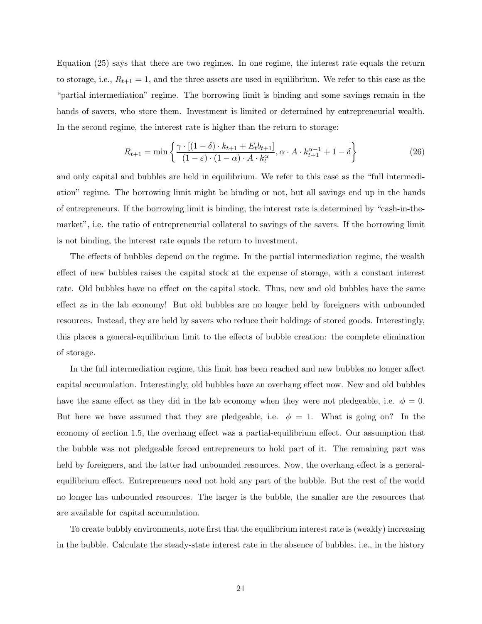Equation (25) says that there are two regimes. In one regime, the interest rate equals the return to storage, i.e.,  $R_{t+1} = 1$ , and the three assets are used in equilibrium. We refer to this case as the "partial intermediation" regime. The borrowing limit is binding and some savings remain in the hands of savers, who store them. Investment is limited or determined by entrepreneurial wealth. In the second regime, the interest rate is higher than the return to storage:

$$
R_{t+1} = \min\left\{\frac{\gamma \cdot [(1-\delta) \cdot k_{t+1} + E_t b_{t+1}]}{(1-\varepsilon) \cdot (1-\alpha) \cdot A \cdot k_t^{\alpha}} \right\}, \alpha \cdot A \cdot k_{t+1}^{\alpha-1} + 1 - \delta\right\}
$$
(26)

and only capital and bubbles are held in equilibrium. We refer to this case as the "full intermediation" regime. The borrowing limit might be binding or not, but all savings end up in the hands of entrepreneurs. If the borrowing limit is binding, the interest rate is determined by "cash-in-themarket", i.e. the ratio of entrepreneurial collateral to savings of the savers. If the borrowing limit is not binding, the interest rate equals the return to investment.

The effects of bubbles depend on the regime. In the partial intermediation regime, the wealth effect of new bubbles raises the capital stock at the expense of storage, with a constant interest rate. Old bubbles have no effect on the capital stock. Thus, new and old bubbles have the same effect as in the lab economy! But old bubbles are no longer held by foreigners with unbounded resources. Instead, they are held by savers who reduce their holdings of stored goods. Interestingly, this places a general-equilibrium limit to the effects of bubble creation: the complete elimination of storage.

In the full intermediation regime, this limit has been reached and new bubbles no longer affect capital accumulation. Interestingly, old bubbles have an overhang effect now. New and old bubbles have the same effect as they did in the lab economy when they were not pledgeable, i.e.  $\phi = 0$ . But here we have assumed that they are pledgeable, i.e.  $\phi = 1$ . What is going on? In the economy of section 1.5, the overhang effect was a partial-equilibrium effect. Our assumption that the bubble was not pledgeable forced entrepreneurs to hold part of it. The remaining part was held by foreigners, and the latter had unbounded resources. Now, the overhang effect is a generalequilibrium effect. Entrepreneurs need not hold any part of the bubble. But the rest of the world no longer has unbounded resources. The larger is the bubble, the smaller are the resources that are available for capital accumulation.

To create bubbly environments, note first that the equilibrium interest rate is (weakly) increasing in the bubble. Calculate the steady-state interest rate in the absence of bubbles, i.e., in the history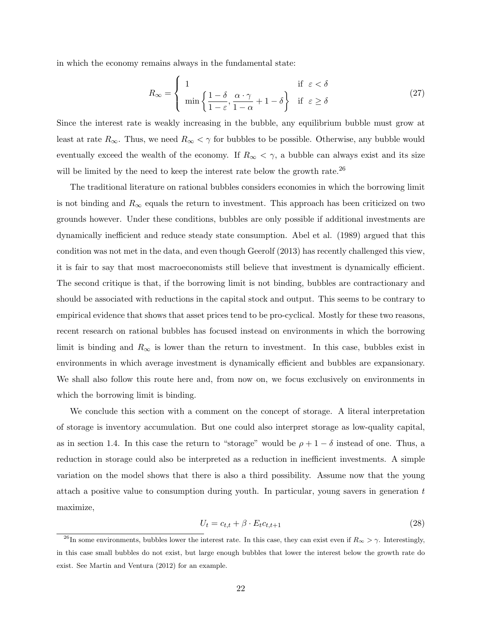in which the economy remains always in the fundamental state:

$$
R_{\infty} = \begin{cases} 1 & \text{if } \varepsilon < \delta \\ \min \left\{ \frac{1 - \delta}{1 - \varepsilon}, \frac{\alpha \cdot \gamma}{1 - \alpha} + 1 - \delta \right\} & \text{if } \varepsilon \ge \delta \end{cases}
$$
 (27)

Since the interest rate is weakly increasing in the bubble, any equilibrium bubble must grow at least at rate  $R_{\infty}$ . Thus, we need  $R_{\infty} < \gamma$  for bubbles to be possible. Otherwise, any bubble would eventually exceed the wealth of the economy. If  $R_{\infty} < \gamma$ , a bubble can always exist and its size will be limited by the need to keep the interest rate below the growth rate.<sup>26</sup>

The traditional literature on rational bubbles considers economies in which the borrowing limit is not binding and  $R_{\infty}$  equals the return to investment. This approach has been criticized on two grounds however. Under these conditions, bubbles are only possible if additional investments are dynamically inefficient and reduce steady state consumption. Abel et al. (1989) argued that this condition was not met in the data, and even though Geerolf (2013) has recently challenged this view, it is fair to say that most macroeconomists still believe that investment is dynamically efficient. The second critique is that, if the borrowing limit is not binding, bubbles are contractionary and should be associated with reductions in the capital stock and output. This seems to be contrary to empirical evidence that shows that asset prices tend to be pro-cyclical. Mostly for these two reasons, recent research on rational bubbles has focused instead on environments in which the borrowing limit is binding and  $R_{\infty}$  is lower than the return to investment. In this case, bubbles exist in environments in which average investment is dynamically efficient and bubbles are expansionary. We shall also follow this route here and, from now on, we focus exclusively on environments in which the borrowing limit is binding.

We conclude this section with a comment on the concept of storage. A literal interpretation of storage is inventory accumulation. But one could also interpret storage as low-quality capital, as in section 1.4. In this case the return to "storage" would be  $\rho + 1 - \delta$  instead of one. Thus, a reduction in storage could also be interpreted as a reduction in inefficient investments. A simple variation on the model shows that there is also a third possibility. Assume now that the young attach a positive value to consumption during youth. In particular, young savers in generation  $t$ maximize,

$$
U_t = c_{t,t} + \beta \cdot E_t c_{t,t+1} \tag{28}
$$

<sup>&</sup>lt;sup>26</sup>In some environments, bubbles lower the interest rate. In this case, they can exist even if  $R_{\infty} > \gamma$ . Interestingly, in this case small bubbles do not exist, but large enough bubbles that lower the interest below the growth rate do exist. See Martin and Ventura (2012) for an example.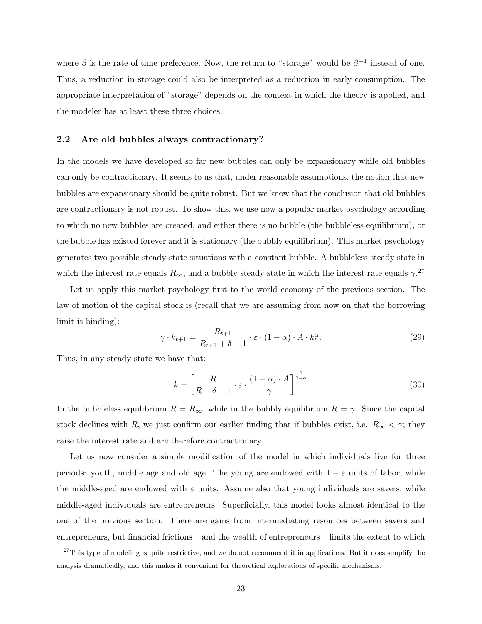where  $\beta$  is the rate of time preference. Now, the return to "storage" would be  $\beta^{-1}$  instead of one. Thus, a reduction in storage could also be interpreted as a reduction in early consumption. The appropriate interpretation of "storage" depends on the context in which the theory is applied, and the modeler has at least these three choices.

#### 2.2 Are old bubbles always contractionary?

In the models we have developed so far new bubbles can only be expansionary while old bubbles can only be contractionary. It seems to us that, under reasonable assumptions, the notion that new bubbles are expansionary should be quite robust. But we know that the conclusion that old bubbles are contractionary is not robust. To show this, we use now a popular market psychology according to which no new bubbles are created, and either there is no bubble (the bubbleless equilibrium), or the bubble has existed forever and it is stationary (the bubbly equilibrium). This market psychology generates two possible steady-state situations with a constant bubble. A bubbleless steady state in which the interest rate equals  $R_{\infty}$ , and a bubbly steady state in which the interest rate equals  $\gamma$ .<sup>27</sup>

Let us apply this market psychology first to the world economy of the previous section. The law of motion of the capital stock is (recall that we are assuming from now on that the borrowing limit is binding):

$$
\gamma \cdot k_{t+1} = \frac{R_{t+1}}{R_{t+1} + \delta - 1} \cdot \varepsilon \cdot (1 - \alpha) \cdot A \cdot k_t^{\alpha}.
$$
 (29)

Thus, in any steady state we have that:

$$
k = \left[\frac{R}{R+\delta-1} \cdot \varepsilon \cdot \frac{(1-\alpha) \cdot A}{\gamma}\right]^{\frac{1}{1-\alpha}}
$$
(30)

In the bubbleless equilibrium  $R = R_{\infty}$ , while in the bubbly equilibrium  $R = \gamma$ . Since the capital stock declines with R, we just confirm our earlier finding that if bubbles exist, i.e.  $R_{\infty} < \gamma$ ; they raise the interest rate and are therefore contractionary.

Let us now consider a simple modification of the model in which individuals live for three periods: youth, middle age and old age. The young are endowed with  $1 - \varepsilon$  units of labor, while the middle-aged are endowed with  $\varepsilon$  units. Assume also that young individuals are savers, while middle-aged individuals are entrepreneurs. Superficially, this model looks almost identical to the one of the previous section. There are gains from intermediating resources between savers and entrepreneurs, but financial frictions – and the wealth of entrepreneurs – limits the extent to which

 $27$ This type of modeling is quite restrictive, and we do not recommend it in applications. But it does simplify the analysis dramatically, and this makes it convenient for theoretical explorations of specific mechanisms.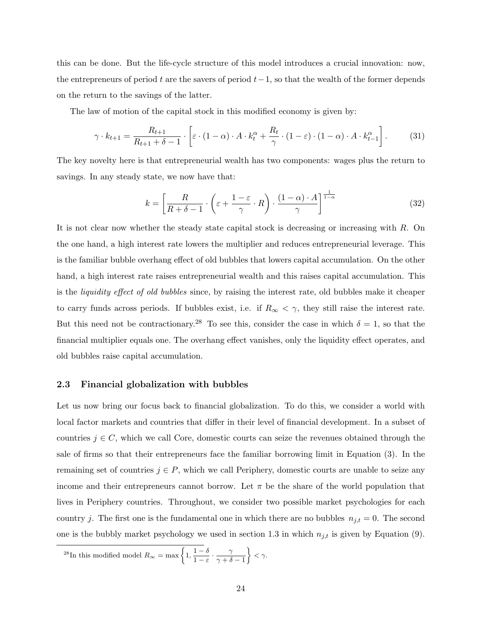this can be done. But the life-cycle structure of this model introduces a crucial innovation: now, the entrepreneurs of period t are the savers of period  $t-1$ , so that the wealth of the former depends on the return to the savings of the latter.

The law of motion of the capital stock in this modified economy is given by:

$$
\gamma \cdot k_{t+1} = \frac{R_{t+1}}{R_{t+1} + \delta - 1} \cdot \left[ \varepsilon \cdot (1 - \alpha) \cdot A \cdot k_t^{\alpha} + \frac{R_t}{\gamma} \cdot (1 - \varepsilon) \cdot (1 - \alpha) \cdot A \cdot k_{t-1}^{\alpha} \right].
$$
 (31)

The key novelty here is that entrepreneurial wealth has two components: wages plus the return to savings. In any steady state, we now have that:

$$
k = \left[\frac{R}{R+\delta-1} \cdot \left(\varepsilon + \frac{1-\varepsilon}{\gamma} \cdot R\right) \cdot \frac{(1-\alpha) \cdot A}{\gamma}\right]^{\frac{1}{1-\alpha}}
$$
(32)

It is not clear now whether the steady state capital stock is decreasing or increasing with R. On the one hand, a high interest rate lowers the multiplier and reduces entrepreneurial leverage. This is the familiar bubble overhang effect of old bubbles that lowers capital accumulation. On the other hand, a high interest rate raises entrepreneurial wealth and this raises capital accumulation. This is the liquidity effect of old bubbles since, by raising the interest rate, old bubbles make it cheaper to carry funds across periods. If bubbles exist, i.e. if  $R_{\infty} < \gamma$ , they still raise the interest rate. But this need not be contractionary.<sup>28</sup> To see this, consider the case in which  $\delta = 1$ , so that the financial multiplier equals one. The overhang effect vanishes, only the liquidity effect operates, and old bubbles raise capital accumulation.

#### 2.3 Financial globalization with bubbles

Let us now bring our focus back to financial globalization. To do this, we consider a world with local factor markets and countries that differ in their level of financial development. In a subset of countries  $j \in C$ , which we call Core, domestic courts can seize the revenues obtained through the sale of firms so that their entrepreneurs face the familiar borrowing limit in Equation (3). In the remaining set of countries  $j \in P$ , which we call Periphery, domestic courts are unable to seize any income and their entrepreneurs cannot borrow. Let  $\pi$  be the share of the world population that lives in Periphery countries. Throughout, we consider two possible market psychologies for each country j. The first one is the fundamental one in which there are no bubbles  $n_{j,t} = 0$ . The second one is the bubbly market psychology we used in section 1.3 in which  $n_{j,t}$  is given by Equation (9).

$$
^{28}{\rm In\ this\ modified\ model}\ R_{\infty}=\max\left\{1,\frac{1-\delta}{1-\varepsilon}\cdot\frac{\gamma}{\gamma+\delta-1}\right\}<\gamma.
$$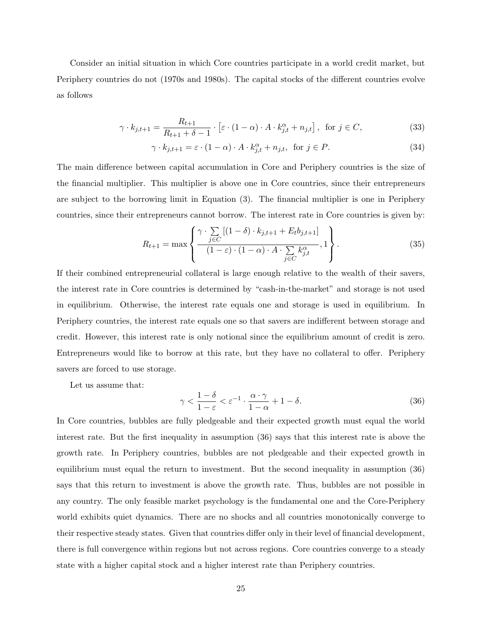Consider an initial situation in which Core countries participate in a world credit market, but Periphery countries do not (1970s and 1980s). The capital stocks of the different countries evolve as follows

$$
\gamma \cdot k_{j,t+1} = \frac{R_{t+1}}{R_{t+1} + \delta - 1} \cdot \left[ \varepsilon \cdot (1 - \alpha) \cdot A \cdot k_{j,t}^{\alpha} + n_{j,t} \right], \text{ for } j \in C,
$$
\n(33)

$$
\gamma \cdot k_{j,t+1} = \varepsilon \cdot (1 - \alpha) \cdot A \cdot k_{j,t}^{\alpha} + n_{j,t}, \text{ for } j \in P.
$$
 (34)

The main difference between capital accumulation in Core and Periphery countries is the size of the financial multiplier. This multiplier is above one in Core countries, since their entrepreneurs are subject to the borrowing limit in Equation (3). The financial multiplier is one in Periphery countries, since their entrepreneurs cannot borrow. The interest rate in Core countries is given by:

$$
R_{t+1} = \max \left\{ \frac{\gamma \cdot \sum\limits_{j \in C} \left[ (1 - \delta) \cdot k_{j,t+1} + E_t b_{j,t+1} \right]}{(1 - \varepsilon) \cdot (1 - \alpha) \cdot A \cdot \sum\limits_{j \in C} k_{j,t}^{\alpha}}, 1 \right\}.
$$
 (35)

If their combined entrepreneurial collateral is large enough relative to the wealth of their savers, the interest rate in Core countries is determined by "cash-in-the-market" and storage is not used in equilibrium. Otherwise, the interest rate equals one and storage is used in equilibrium. In Periphery countries, the interest rate equals one so that savers are indifferent between storage and credit. However, this interest rate is only notional since the equilibrium amount of credit is zero. Entrepreneurs would like to borrow at this rate, but they have no collateral to offer. Periphery savers are forced to use storage.

Let us assume that:

$$
\gamma < \frac{1-\delta}{1-\varepsilon} < \varepsilon^{-1} \cdot \frac{\alpha \cdot \gamma}{1-\alpha} + 1 - \delta. \tag{36}
$$

In Core countries, bubbles are fully pledgeable and their expected growth must equal the world interest rate. But the first inequality in assumption (36) says that this interest rate is above the growth rate. In Periphery countries, bubbles are not pledgeable and their expected growth in equilibrium must equal the return to investment. But the second inequality in assumption (36) says that this return to investment is above the growth rate. Thus, bubbles are not possible in any country. The only feasible market psychology is the fundamental one and the Core-Periphery world exhibits quiet dynamics. There are no shocks and all countries monotonically converge to their respective steady states. Given that countries differ only in their level of financial development, there is full convergence within regions but not across regions. Core countries converge to a steady state with a higher capital stock and a higher interest rate than Periphery countries.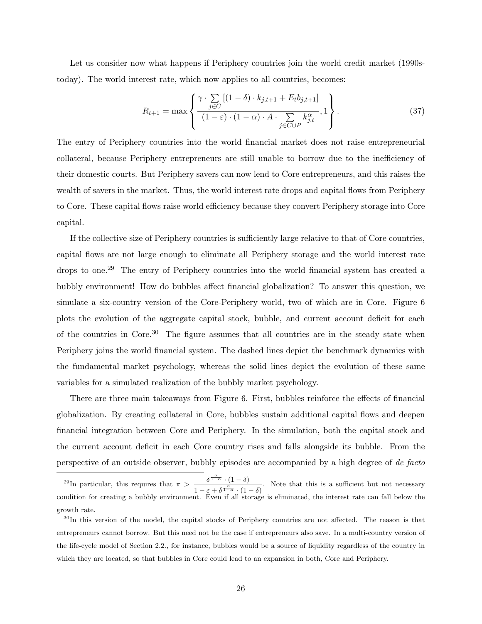Let us consider now what happens if Periphery countries join the world credit market (1990stoday). The world interest rate, which now applies to all countries, becomes:

$$
R_{t+1} = \max \left\{ \frac{\gamma \cdot \sum\limits_{j \in C} \left[ (1 - \delta) \cdot k_{j,t+1} + E_t b_{j,t+1} \right]}{(1 - \varepsilon) \cdot (1 - \alpha) \cdot A \cdot \sum\limits_{j \in C \cup P} k_{j,t}^{\alpha}}, 1 \right\}.
$$
 (37)

The entry of Periphery countries into the world financial market does not raise entrepreneurial collateral, because Periphery entrepreneurs are still unable to borrow due to the inefficiency of their domestic courts. But Periphery savers can now lend to Core entrepreneurs, and this raises the wealth of savers in the market. Thus, the world interest rate drops and capital flows from Periphery to Core. These capital flows raise world efficiency because they convert Periphery storage into Core capital.

If the collective size of Periphery countries is sufficiently large relative to that of Core countries, capital flows are not large enough to eliminate all Periphery storage and the world interest rate drops to one.<sup>29</sup> The entry of Periphery countries into the world financial system has created a bubbly environment! How do bubbles affect financial globalization? To answer this question, we simulate a six-country version of the Core-Periphery world, two of which are in Core. Figure 6 plots the evolution of the aggregate capital stock, bubble, and current account deficit for each of the countries in Core.<sup>30</sup> The figure assumes that all countries are in the steady state when Periphery joins the world financial system. The dashed lines depict the benchmark dynamics with the fundamental market psychology, whereas the solid lines depict the evolution of these same variables for a simulated realization of the bubbly market psychology.

There are three main takeaways from Figure 6. First, bubbles reinforce the effects of financial globalization. By creating collateral in Core, bubbles sustain additional capital flows and deepen financial integration between Core and Periphery. In the simulation, both the capital stock and the current account deficit in each Core country rises and falls alongside its bubble. From the perspective of an outside observer, bubbly episodes are accompanied by a high degree of de facto

<sup>&</sup>lt;sup>29</sup>In particular, this requires that  $\pi > \frac{\delta^{\frac{\alpha}{1-\alpha}} \cdot (1-\delta)}{\alpha}$  $\frac{a}{1-\epsilon+\delta^{\frac{\alpha}{1-\alpha}}\cdot(1-\delta)}$ . Note that this is a sufficient but not necessary condition for creating a bubbly environment. Even if all storage is eliminated, the interest rate can fall below the growth rate.

<sup>&</sup>lt;sup>30</sup>In this version of the model, the capital stocks of Periphery countries are not affected. The reason is that entrepreneurs cannot borrow. But this need not be the case if entrepreneurs also save. In a multi-country version of the life-cycle model of Section 2.2., for instance, bubbles would be a source of liquidity regardless of the country in which they are located, so that bubbles in Core could lead to an expansion in both, Core and Periphery.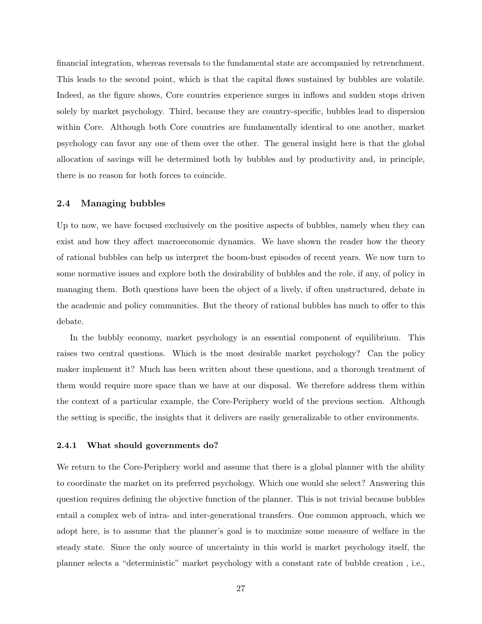financial integration, whereas reversals to the fundamental state are accompanied by retrenchment. This leads to the second point, which is that the capital flows sustained by bubbles are volatile. Indeed, as the figure shows, Core countries experience surges in inflows and sudden stops driven solely by market psychology. Third, because they are country-specific, bubbles lead to dispersion within Core. Although both Core countries are fundamentally identical to one another, market psychology can favor any one of them over the other. The general insight here is that the global allocation of savings will be determined both by bubbles and by productivity and, in principle, there is no reason for both forces to coincide.

### 2.4 Managing bubbles

Up to now, we have focused exclusively on the positive aspects of bubbles, namely when they can exist and how they affect macroeconomic dynamics. We have shown the reader how the theory of rational bubbles can help us interpret the boom-bust episodes of recent years. We now turn to some normative issues and explore both the desirability of bubbles and the role, if any, of policy in managing them. Both questions have been the object of a lively, if often unstructured, debate in the academic and policy communities. But the theory of rational bubbles has much to offer to this debate.

In the bubbly economy, market psychology is an essential component of equilibrium. This raises two central questions. Which is the most desirable market psychology? Can the policy maker implement it? Much has been written about these questions, and a thorough treatment of them would require more space than we have at our disposal. We therefore address them within the context of a particular example, the Core-Periphery world of the previous section. Although the setting is specific, the insights that it delivers are easily generalizable to other environments.

#### 2.4.1 What should governments do?

We return to the Core-Periphery world and assume that there is a global planner with the ability to coordinate the market on its preferred psychology. Which one would she select? Answering this question requires defining the objective function of the planner. This is not trivial because bubbles entail a complex web of intra- and inter-generational transfers. One common approach, which we adopt here, is to assume that the planner's goal is to maximize some measure of welfare in the steady state. Since the only source of uncertainty in this world is market psychology itself, the planner selects a "deterministic" market psychology with a constant rate of bubble creation , i.e.,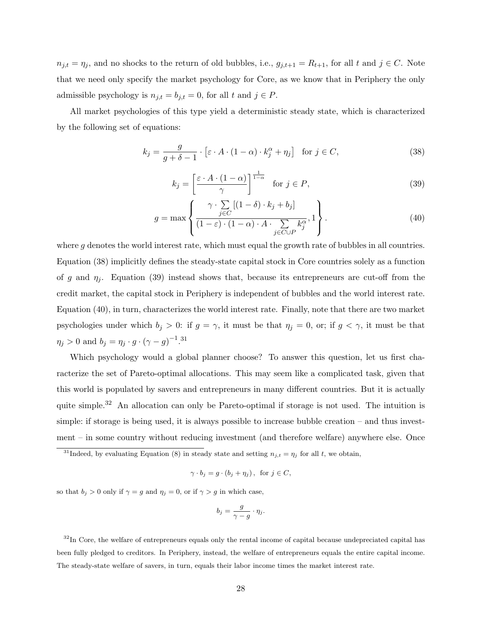$n_{j,t} = \eta_j$ , and no shocks to the return of old bubbles, i.e.,  $g_{j,t+1} = R_{t+1}$ , for all t and  $j \in C$ . Note that we need only specify the market psychology for Core, as we know that in Periphery the only admissible psychology is  $n_{j,t} = b_{j,t} = 0$ , for all t and  $j \in P$ .

All market psychologies of this type yield a deterministic steady state, which is characterized by the following set of equations:

$$
k_j = \frac{g}{g + \delta - 1} \cdot \left[ \varepsilon \cdot A \cdot (1 - \alpha) \cdot k_j^{\alpha} + \eta_j \right] \quad \text{for } j \in C,
$$
\n(38)

$$
k_j = \left[\frac{\varepsilon \cdot A \cdot (1 - \alpha)}{\gamma}\right]^{\frac{1}{1 - \alpha}} \quad \text{for } j \in P,
$$
\n(39)

$$
g = \max \left\{ \frac{\gamma \cdot \sum_{j \in C} \left[ (1 - \delta) \cdot k_j + b_j \right]}{(1 - \varepsilon) \cdot (1 - \alpha) \cdot A \cdot \sum_{j \in C \cup P} k_j^{\alpha}}, 1 \right\}.
$$
 (40)

where  $q$  denotes the world interest rate, which must equal the growth rate of bubbles in all countries. Equation (38) implicitly defines the steady-state capital stock in Core countries solely as a function of g and  $\eta_i$ . Equation (39) instead shows that, because its entrepreneurs are cut-off from the credit market, the capital stock in Periphery is independent of bubbles and the world interest rate. Equation (40), in turn, characterizes the world interest rate. Finally, note that there are two market psychologies under which  $b_j > 0$ : if  $g = \gamma$ , it must be that  $\eta_j = 0$ , or; if  $g < \gamma$ , it must be that  $\eta_j > 0$  and  $b_j = \eta_j \cdot g \cdot (\gamma - g)^{-1}$ .<sup>31</sup>

Which psychology would a global planner choose? To answer this question, let us first characterize the set of Pareto-optimal allocations. This may seem like a complicated task, given that this world is populated by savers and entrepreneurs in many different countries. But it is actually quite simple.<sup>32</sup> An allocation can only be Pareto-optimal if storage is not used. The intuition is simple: if storage is being used, it is always possible to increase bubble creation – and thus investment – in some country without reducing investment (and therefore welfare) anywhere else. Once

$$
\gamma \cdot b_j = g \cdot (b_j + \eta_j), \text{ for } j \in C,
$$

so that  $b_j > 0$  only if  $\gamma = g$  and  $\eta_j = 0$ , or if  $\gamma > g$  in which case,

$$
b_j = \frac{g}{\gamma - g} \cdot \eta_j.
$$

 $32$ In Core, the welfare of entrepreneurs equals only the rental income of capital because undepreciated capital has been fully pledged to creditors. In Periphery, instead, the welfare of entrepreneurs equals the entire capital income. The steady-state welfare of savers, in turn, equals their labor income times the market interest rate.

<sup>&</sup>lt;sup>31</sup>Indeed, by evaluating Equation (8) in steady state and setting  $n_{j,t} = \eta_j$  for all t, we obtain,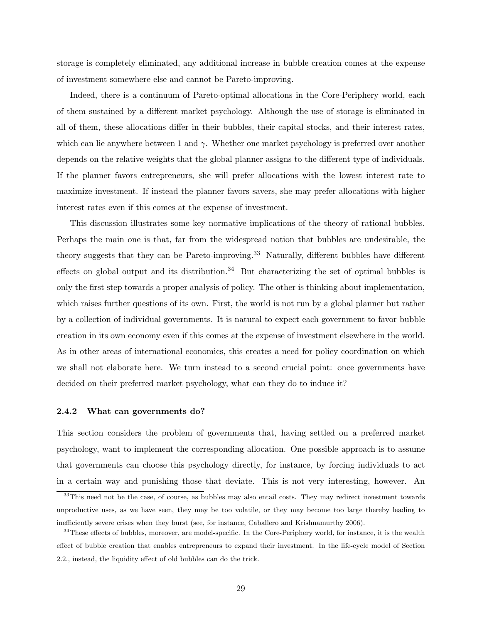storage is completely eliminated, any additional increase in bubble creation comes at the expense of investment somewhere else and cannot be Pareto-improving.

Indeed, there is a continuum of Pareto-optimal allocations in the Core-Periphery world, each of them sustained by a different market psychology. Although the use of storage is eliminated in all of them, these allocations differ in their bubbles, their capital stocks, and their interest rates, which can lie anywhere between 1 and  $\gamma$ . Whether one market psychology is preferred over another depends on the relative weights that the global planner assigns to the different type of individuals. If the planner favors entrepreneurs, she will prefer allocations with the lowest interest rate to maximize investment. If instead the planner favors savers, she may prefer allocations with higher interest rates even if this comes at the expense of investment.

This discussion illustrates some key normative implications of the theory of rational bubbles. Perhaps the main one is that, far from the widespread notion that bubbles are undesirable, the theory suggests that they can be Pareto-improving.<sup>33</sup> Naturally, different bubbles have different effects on global output and its distribution.<sup>34</sup> But characterizing the set of optimal bubbles is only the first step towards a proper analysis of policy. The other is thinking about implementation, which raises further questions of its own. First, the world is not run by a global planner but rather by a collection of individual governments. It is natural to expect each government to favor bubble creation in its own economy even if this comes at the expense of investment elsewhere in the world. As in other areas of international economics, this creates a need for policy coordination on which we shall not elaborate here. We turn instead to a second crucial point: once governments have decided on their preferred market psychology, what can they do to induce it?

#### 2.4.2 What can governments do?

This section considers the problem of governments that, having settled on a preferred market psychology, want to implement the corresponding allocation. One possible approach is to assume that governments can choose this psychology directly, for instance, by forcing individuals to act in a certain way and punishing those that deviate. This is not very interesting, however. An

<sup>&</sup>lt;sup>33</sup>This need not be the case, of course, as bubbles may also entail costs. They may redirect investment towards unproductive uses, as we have seen, they may be too volatile, or they may become too large thereby leading to inefficiently severe crises when they burst (see, for instance, Caballero and Krishnamurthy 2006).

<sup>&</sup>lt;sup>34</sup>These effects of bubbles, moreover, are model-specific. In the Core-Periphery world, for instance, it is the wealth effect of bubble creation that enables entrepreneurs to expand their investment. In the life-cycle model of Section 2.2., instead, the liquidity effect of old bubbles can do the trick.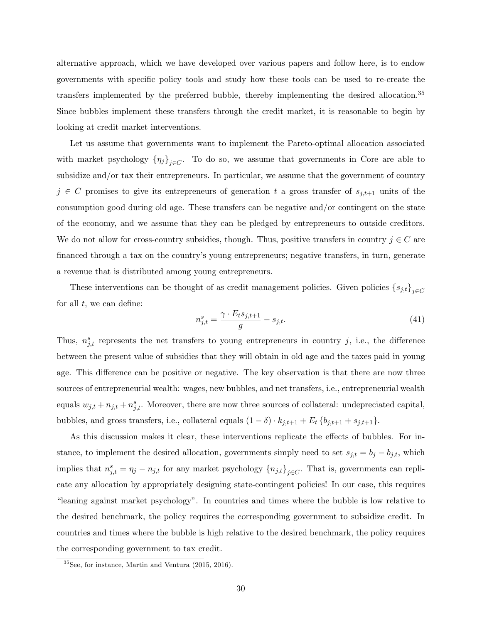alternative approach, which we have developed over various papers and follow here, is to endow governments with specific policy tools and study how these tools can be used to re-create the transfers implemented by the preferred bubble, thereby implementing the desired allocation.<sup>35</sup> Since bubbles implement these transfers through the credit market, it is reasonable to begin by looking at credit market interventions.

Let us assume that governments want to implement the Pareto-optimal allocation associated with market psychology  $\{\eta_j\}_{j\in C}$ . To do so, we assume that governments in Core are able to subsidize and/or tax their entrepreneurs. In particular, we assume that the government of country  $j \in C$  promises to give its entrepreneurs of generation t a gross transfer of  $s_{j,t+1}$  units of the consumption good during old age. These transfers can be negative and/or contingent on the state of the economy, and we assume that they can be pledged by entrepreneurs to outside creditors. We do not allow for cross-country subsidies, though. Thus, positive transfers in country  $j \in C$  are financed through a tax on the country's young entrepreneurs; negative transfers, in turn, generate a revenue that is distributed among young entrepreneurs.

These interventions can be thought of as credit management policies. Given policies  ${s_{j,t}}_{j\in C}$ for all  $t$ , we can define:

$$
n_{j,t}^s = \frac{\gamma \cdot E_t s_{j,t+1}}{g} - s_{j,t}.\tag{41}
$$

Thus,  $n_{j,t}^s$  represents the net transfers to young entrepreneurs in country j, i.e., the difference between the present value of subsidies that they will obtain in old age and the taxes paid in young age. This difference can be positive or negative. The key observation is that there are now three sources of entrepreneurial wealth: wages, new bubbles, and net transfers, i.e., entrepreneurial wealth equals  $w_{j,t} + n_{j,t} + n_{j,t}^s$ . Moreover, there are now three sources of collateral: undepreciated capital, bubbles, and gross transfers, i.e., collateral equals  $(1 - \delta) \cdot k_{j,t+1} + E_t \{b_{j,t+1} + s_{j,t+1}\}.$ 

As this discussion makes it clear, these interventions replicate the effects of bubbles. For instance, to implement the desired allocation, governments simply need to set  $s_{j,t} = b_j - b_{j,t}$ , which implies that  $n_{j,t}^s = \eta_j - n_{j,t}$  for any market psychology  ${n_{j,t}}_{j \in C}$ . That is, governments can replicate any allocation by appropriately designing state-contingent policies! In our case, this requires "leaning against market psychology". In countries and times where the bubble is low relative to the desired benchmark, the policy requires the corresponding government to subsidize credit. In countries and times where the bubble is high relative to the desired benchmark, the policy requires the corresponding government to tax credit.

<sup>35</sup>See, for instance, Martin and Ventura (2015, 2016).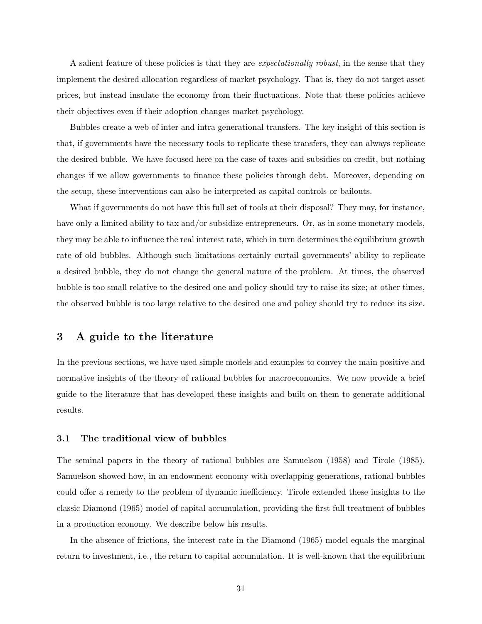A salient feature of these policies is that they are expectationally robust, in the sense that they implement the desired allocation regardless of market psychology. That is, they do not target asset prices, but instead insulate the economy from their fluctuations. Note that these policies achieve their objectives even if their adoption changes market psychology.

Bubbles create a web of inter and intra generational transfers. The key insight of this section is that, if governments have the necessary tools to replicate these transfers, they can always replicate the desired bubble. We have focused here on the case of taxes and subsidies on credit, but nothing changes if we allow governments to finance these policies through debt. Moreover, depending on the setup, these interventions can also be interpreted as capital controls or bailouts.

What if governments do not have this full set of tools at their disposal? They may, for instance, have only a limited ability to tax and/or subsidize entrepreneurs. Or, as in some monetary models, they may be able to influence the real interest rate, which in turn determines the equilibrium growth rate of old bubbles. Although such limitations certainly curtail governments' ability to replicate a desired bubble, they do not change the general nature of the problem. At times, the observed bubble is too small relative to the desired one and policy should try to raise its size; at other times, the observed bubble is too large relative to the desired one and policy should try to reduce its size.

## 3 A guide to the literature

In the previous sections, we have used simple models and examples to convey the main positive and normative insights of the theory of rational bubbles for macroeconomics. We now provide a brief guide to the literature that has developed these insights and built on them to generate additional results.

#### 3.1 The traditional view of bubbles

The seminal papers in the theory of rational bubbles are Samuelson (1958) and Tirole (1985). Samuelson showed how, in an endowment economy with overlapping-generations, rational bubbles could offer a remedy to the problem of dynamic inefficiency. Tirole extended these insights to the classic Diamond (1965) model of capital accumulation, providing the first full treatment of bubbles in a production economy. We describe below his results.

In the absence of frictions, the interest rate in the Diamond (1965) model equals the marginal return to investment, i.e., the return to capital accumulation. It is well-known that the equilibrium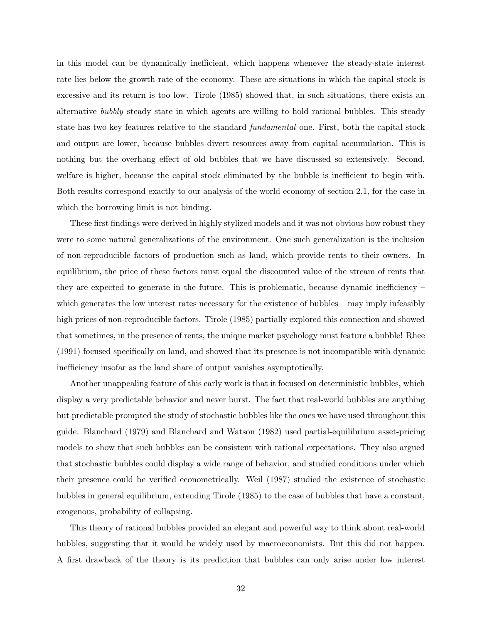in this model can be dynamically inefficient, which happens whenever the steady-state interest rate lies below the growth rate of the economy. These are situations in which the capital stock is excessive and its return is too low. Tirole (1985) showed that, in such situations, there exists an alternative bubbly steady state in which agents are willing to hold rational bubbles. This steady state has two key features relative to the standard fundamental one. First, both the capital stock and output are lower, because bubbles divert resources away from capital accumulation. This is nothing but the overhang effect of old bubbles that we have discussed so extensively. Second, welfare is higher, because the capital stock eliminated by the bubble is inefficient to begin with. Both results correspond exactly to our analysis of the world economy of section 2.1, for the case in which the borrowing limit is not binding.

These first findings were derived in highly stylized models and it was not obvious how robust they were to some natural generalizations of the environment. One such generalization is the inclusion of non-reproducible factors of production such as land, which provide rents to their owners. In equilibrium, the price of these factors must equal the discounted value of the stream of rents that they are expected to generate in the future. This is problematic, because dynamic inefficiency  $$ which generates the low interest rates necessary for the existence of bubbles – may imply infeasibly high prices of non-reproducible factors. Tirole (1985) partially explored this connection and showed that sometimes, in the presence of rents, the unique market psychology must feature a bubble! Rhee (1991) focused specifically on land, and showed that its presence is not incompatible with dynamic inefficiency insofar as the land share of output vanishes asymptotically.

Another unappealing feature of this early work is that it focused on deterministic bubbles, which display a very predictable behavior and never burst. The fact that real-world bubbles are anything but predictable prompted the study of stochastic bubbles like the ones we have used throughout this guide. Blanchard (1979) and Blanchard and Watson (1982) used partial-equilibrium asset-pricing models to show that such bubbles can be consistent with rational expectations. They also argued that stochastic bubbles could display a wide range of behavior, and studied conditions under which their presence could be verified econometrically. Weil (1987) studied the existence of stochastic bubbles in general equilibrium, extending Tirole (1985) to the case of bubbles that have a constant, exogenous, probability of collapsing.

This theory of rational bubbles provided an elegant and powerful way to think about real-world bubbles, suggesting that it would be widely used by macroeconomists. But this did not happen. A first drawback of the theory is its prediction that bubbles can only arise under low interest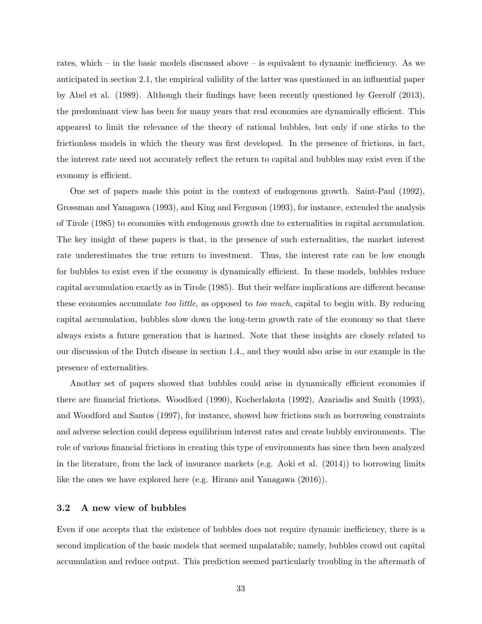rates, which – in the basic models discussed above – is equivalent to dynamic inefficiency. As we anticipated in section 2.1, the empirical validity of the latter was questioned in an influential paper by Abel et al. (1989). Although their findings have been recently questioned by Geerolf (2013), the predominant view has been for many years that real economies are dynamically efficient. This appeared to limit the relevance of the theory of rational bubbles, but only if one sticks to the frictionless models in which the theory was first developed. In the presence of frictions, in fact, the interest rate need not accurately reflect the return to capital and bubbles may exist even if the economy is efficient.

One set of papers made this point in the context of endogenous growth. Saint-Paul (1992), Grossman and Yanagawa (1993), and King and Ferguson (1993), for instance, extended the analysis of Tirole (1985) to economies with endogenous growth due to externalities in capital accumulation. The key insight of these papers is that, in the presence of such externalities, the market interest rate underestimates the true return to investment. Thus, the interest rate can be low enough for bubbles to exist even if the economy is dynamically efficient. In these models, bubbles reduce capital accumulation exactly as in Tirole (1985). But their welfare implications are different because these economies accumulate too little, as opposed to too much, capital to begin with. By reducing capital accumulation, bubbles slow down the long-term growth rate of the economy so that there always exists a future generation that is harmed. Note that these insights are closely related to our discussion of the Dutch disease in section 1.4., and they would also arise in our example in the presence of externalities.

Another set of papers showed that bubbles could arise in dynamically efficient economies if there are financial frictions. Woodford (1990), Kocherlakota (1992), Azariadis and Smith (1993), and Woodford and Santos (1997), for instance, showed how frictions such as borrowing constraints and adverse selection could depress equilibrium interest rates and create bubbly environments. The role of various financial frictions in creating this type of environments has since then been analyzed in the literature, from the lack of insurance markets (e.g. Aoki et al. (2014)) to borrowing limits like the ones we have explored here (e.g. Hirano and Yanagawa (2016)).

## 3.2 A new view of bubbles

Even if one accepts that the existence of bubbles does not require dynamic inefficiency, there is a second implication of the basic models that seemed unpalatable; namely, bubbles crowd out capital accumulation and reduce output. This prediction seemed particularly troubling in the aftermath of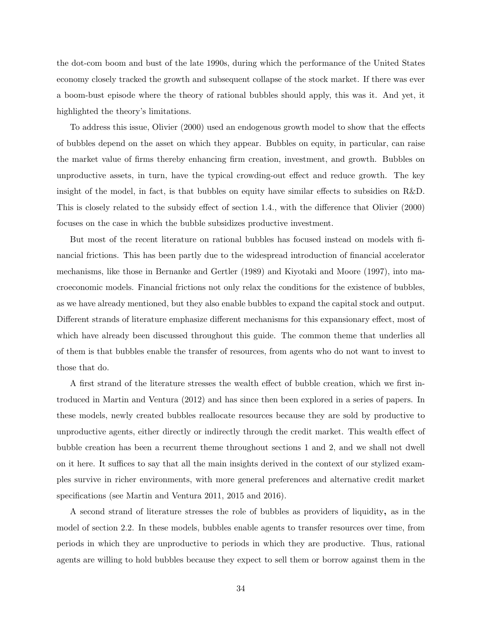the dot-com boom and bust of the late 1990s, during which the performance of the United States economy closely tracked the growth and subsequent collapse of the stock market. If there was ever a boom-bust episode where the theory of rational bubbles should apply, this was it. And yet, it highlighted the theory's limitations.

To address this issue, Olivier (2000) used an endogenous growth model to show that the effects of bubbles depend on the asset on which they appear. Bubbles on equity, in particular, can raise the market value of firms thereby enhancing firm creation, investment, and growth. Bubbles on unproductive assets, in turn, have the typical crowding-out effect and reduce growth. The key insight of the model, in fact, is that bubbles on equity have similar effects to subsidies on R&D. This is closely related to the subsidy effect of section 1.4., with the difference that Olivier (2000) focuses on the case in which the bubble subsidizes productive investment.

But most of the recent literature on rational bubbles has focused instead on models with financial frictions. This has been partly due to the widespread introduction of financial accelerator mechanisms, like those in Bernanke and Gertler (1989) and Kiyotaki and Moore (1997), into macroeconomic models. Financial frictions not only relax the conditions for the existence of bubbles, as we have already mentioned, but they also enable bubbles to expand the capital stock and output. Different strands of literature emphasize different mechanisms for this expansionary effect, most of which have already been discussed throughout this guide. The common theme that underlies all of them is that bubbles enable the transfer of resources, from agents who do not want to invest to those that do.

A first strand of the literature stresses the wealth effect of bubble creation, which we first introduced in Martin and Ventura (2012) and has since then been explored in a series of papers. In these models, newly created bubbles reallocate resources because they are sold by productive to unproductive agents, either directly or indirectly through the credit market. This wealth effect of bubble creation has been a recurrent theme throughout sections 1 and 2, and we shall not dwell on it here. It suffices to say that all the main insights derived in the context of our stylized examples survive in richer environments, with more general preferences and alternative credit market specifications (see Martin and Ventura 2011, 2015 and 2016).

A second strand of literature stresses the role of bubbles as providers of liquidity, as in the model of section 2.2. In these models, bubbles enable agents to transfer resources over time, from periods in which they are unproductive to periods in which they are productive. Thus, rational agents are willing to hold bubbles because they expect to sell them or borrow against them in the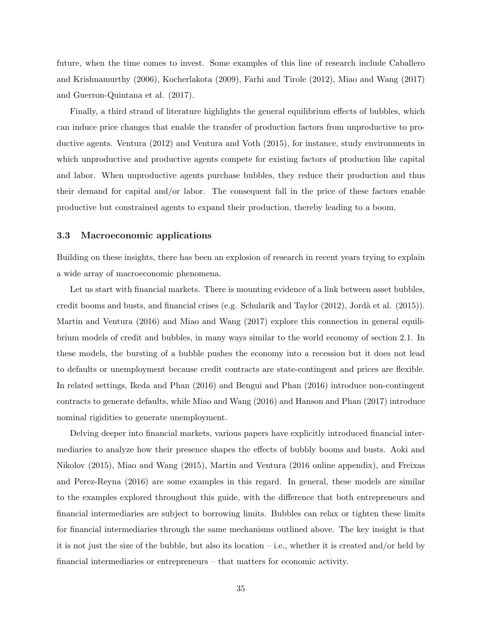future, when the time comes to invest. Some examples of this line of research include Caballero and Krishnamurthy (2006), Kocherlakota (2009), Farhi and Tirole (2012), Miao and Wang (2017) and Guerron-Quintana et al. (2017).

Finally, a third strand of literature highlights the general equilibrium effects of bubbles, which can induce price changes that enable the transfer of production factors from unproductive to productive agents. Ventura (2012) and Ventura and Voth (2015), for instance, study environments in which unproductive and productive agents compete for existing factors of production like capital and labor. When unproductive agents purchase bubbles, they reduce their production and thus their demand for capital and/or labor. The consequent fall in the price of these factors enable productive but constrained agents to expand their production, thereby leading to a boom.

### 3.3 Macroeconomic applications

Building on these insights, there has been an explosion of research in recent years trying to explain a wide array of macroeconomic phenomena.

Let us start with financial markets. There is mounting evidence of a link between asset bubbles, credit booms and busts, and financial crises (e.g. Schularik and Taylor  $(2012)$ , Jordà et al.  $(2015)$ ). Martin and Ventura (2016) and Miao and Wang (2017) explore this connection in general equilibrium models of credit and bubbles, in many ways similar to the world economy of section 2.1. In these models, the bursting of a bubble pushes the economy into a recession but it does not lead to defaults or unemployment because credit contracts are state-contingent and prices are flexible. In related settings, Ikeda and Phan (2016) and Bengui and Phan (2016) introduce non-contingent contracts to generate defaults, while Miao and Wang (2016) and Hanson and Phan (2017) introduce nominal rigidities to generate unemployment.

Delving deeper into financial markets, various papers have explicitly introduced financial intermediaries to analyze how their presence shapes the effects of bubbly booms and busts. Aoki and Nikolov (2015), Miao and Wang (2015), Martin and Ventura (2016 online appendix), and Freixas and Perez-Reyna (2016) are some examples in this regard. In general, these models are similar to the examples explored throughout this guide, with the difference that both entrepreneurs and financial intermediaries are subject to borrowing limits. Bubbles can relax or tighten these limits for financial intermediaries through the same mechanisms outlined above. The key insight is that it is not just the size of the bubble, but also its location – i.e., whether it is created and/or held by financial intermediaries or entrepreneurs – that matters for economic activity.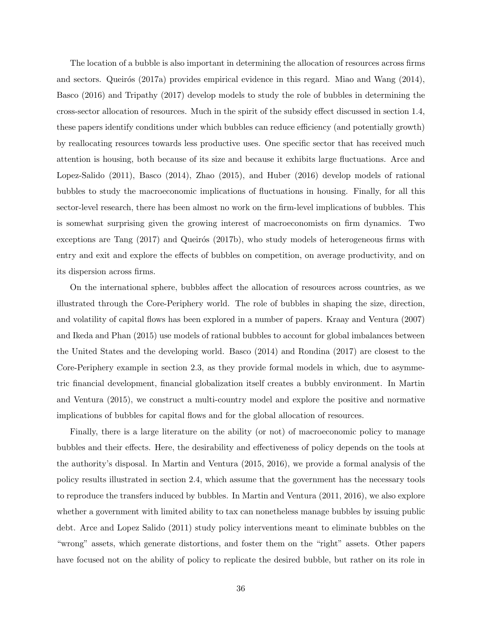The location of a bubble is also important in determining the allocation of resources across firms and sectors. Queirós (2017a) provides empirical evidence in this regard. Miao and Wang (2014), Basco (2016) and Tripathy (2017) develop models to study the role of bubbles in determining the cross-sector allocation of resources. Much in the spirit of the subsidy effect discussed in section 1.4, these papers identify conditions under which bubbles can reduce efficiency (and potentially growth) by reallocating resources towards less productive uses. One specific sector that has received much attention is housing, both because of its size and because it exhibits large fluctuations. Arce and Lopez-Salido (2011), Basco (2014), Zhao (2015), and Huber (2016) develop models of rational bubbles to study the macroeconomic implications of fluctuations in housing. Finally, for all this sector-level research, there has been almost no work on the firm-level implications of bubbles. This is somewhat surprising given the growing interest of macroeconomists on firm dynamics. Two exceptions are Tang  $(2017)$  and Queirós  $(2017b)$ , who study models of heterogeneous firms with entry and exit and explore the effects of bubbles on competition, on average productivity, and on its dispersion across firms.

On the international sphere, bubbles affect the allocation of resources across countries, as we illustrated through the Core-Periphery world. The role of bubbles in shaping the size, direction, and volatility of capital flows has been explored in a number of papers. Kraay and Ventura (2007) and Ikeda and Phan (2015) use models of rational bubbles to account for global imbalances between the United States and the developing world. Basco (2014) and Rondina (2017) are closest to the Core-Periphery example in section 2.3, as they provide formal models in which, due to asymmetric financial development, financial globalization itself creates a bubbly environment. In Martin and Ventura (2015), we construct a multi-country model and explore the positive and normative implications of bubbles for capital flows and for the global allocation of resources.

Finally, there is a large literature on the ability (or not) of macroeconomic policy to manage bubbles and their effects. Here, the desirability and effectiveness of policy depends on the tools at the authority's disposal. In Martin and Ventura (2015, 2016), we provide a formal analysis of the policy results illustrated in section 2.4, which assume that the government has the necessary tools to reproduce the transfers induced by bubbles. In Martin and Ventura (2011, 2016), we also explore whether a government with limited ability to tax can nonetheless manage bubbles by issuing public debt. Arce and Lopez Salido (2011) study policy interventions meant to eliminate bubbles on the "wrong" assets, which generate distortions, and foster them on the "right" assets. Other papers have focused not on the ability of policy to replicate the desired bubble, but rather on its role in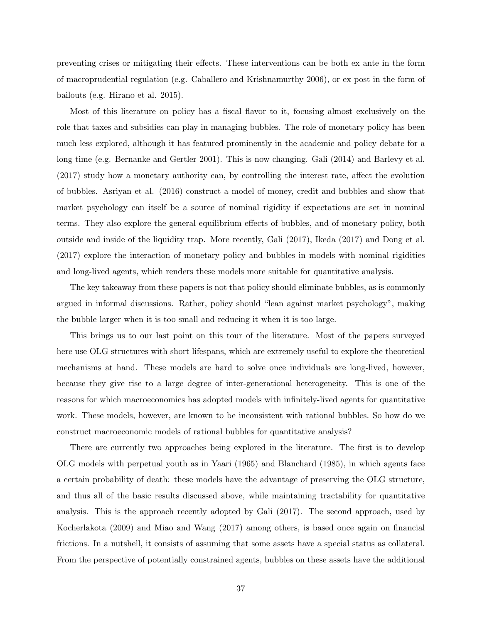preventing crises or mitigating their effects. These interventions can be both ex ante in the form of macroprudential regulation (e.g. Caballero and Krishnamurthy 2006), or ex post in the form of bailouts (e.g. Hirano et al. 2015).

Most of this literature on policy has a fiscal flavor to it, focusing almost exclusively on the role that taxes and subsidies can play in managing bubbles. The role of monetary policy has been much less explored, although it has featured prominently in the academic and policy debate for a long time (e.g. Bernanke and Gertler 2001). This is now changing. Gali (2014) and Barlevy et al. (2017) study how a monetary authority can, by controlling the interest rate, affect the evolution of bubbles. Asriyan et al. (2016) construct a model of money, credit and bubbles and show that market psychology can itself be a source of nominal rigidity if expectations are set in nominal terms. They also explore the general equilibrium effects of bubbles, and of monetary policy, both outside and inside of the liquidity trap. More recently, Gali (2017), Ikeda (2017) and Dong et al. (2017) explore the interaction of monetary policy and bubbles in models with nominal rigidities and long-lived agents, which renders these models more suitable for quantitative analysis.

The key takeaway from these papers is not that policy should eliminate bubbles, as is commonly argued in informal discussions. Rather, policy should "lean against market psychology", making the bubble larger when it is too small and reducing it when it is too large.

This brings us to our last point on this tour of the literature. Most of the papers surveyed here use OLG structures with short lifespans, which are extremely useful to explore the theoretical mechanisms at hand. These models are hard to solve once individuals are long-lived, however, because they give rise to a large degree of inter-generational heterogeneity. This is one of the reasons for which macroeconomics has adopted models with infinitely-lived agents for quantitative work. These models, however, are known to be inconsistent with rational bubbles. So how do we construct macroeconomic models of rational bubbles for quantitative analysis?

There are currently two approaches being explored in the literature. The first is to develop OLG models with perpetual youth as in Yaari (1965) and Blanchard (1985), in which agents face a certain probability of death: these models have the advantage of preserving the OLG structure, and thus all of the basic results discussed above, while maintaining tractability for quantitative analysis. This is the approach recently adopted by Gali (2017). The second approach, used by Kocherlakota (2009) and Miao and Wang (2017) among others, is based once again on financial frictions. In a nutshell, it consists of assuming that some assets have a special status as collateral. From the perspective of potentially constrained agents, bubbles on these assets have the additional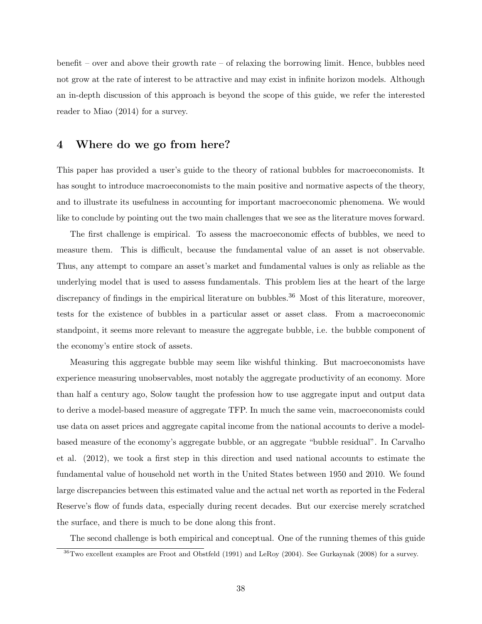benefit – over and above their growth rate – of relaxing the borrowing limit. Hence, bubbles need not grow at the rate of interest to be attractive and may exist in infinite horizon models. Although an in-depth discussion of this approach is beyond the scope of this guide, we refer the interested reader to Miao (2014) for a survey.

# 4 Where do we go from here?

This paper has provided a user's guide to the theory of rational bubbles for macroeconomists. It has sought to introduce macroeconomists to the main positive and normative aspects of the theory, and to illustrate its usefulness in accounting for important macroeconomic phenomena. We would like to conclude by pointing out the two main challenges that we see as the literature moves forward.

The first challenge is empirical. To assess the macroeconomic effects of bubbles, we need to measure them. This is difficult, because the fundamental value of an asset is not observable. Thus, any attempt to compare an asset's market and fundamental values is only as reliable as the underlying model that is used to assess fundamentals. This problem lies at the heart of the large discrepancy of findings in the empirical literature on bubbles.<sup>36</sup> Most of this literature, moreover, tests for the existence of bubbles in a particular asset or asset class. From a macroeconomic standpoint, it seems more relevant to measure the aggregate bubble, i.e. the bubble component of the economy's entire stock of assets.

Measuring this aggregate bubble may seem like wishful thinking. But macroeconomists have experience measuring unobservables, most notably the aggregate productivity of an economy. More than half a century ago, Solow taught the profession how to use aggregate input and output data to derive a model-based measure of aggregate TFP. In much the same vein, macroeconomists could use data on asset prices and aggregate capital income from the national accounts to derive a modelbased measure of the economy's aggregate bubble, or an aggregate "bubble residual". In Carvalho et al. (2012), we took a first step in this direction and used national accounts to estimate the fundamental value of household net worth in the United States between 1950 and 2010. We found large discrepancies between this estimated value and the actual net worth as reported in the Federal Reserve's flow of funds data, especially during recent decades. But our exercise merely scratched the surface, and there is much to be done along this front.

The second challenge is both empirical and conceptual. One of the running themes of this guide

<sup>&</sup>lt;sup>36</sup>Two excellent examples are Froot and Obstfeld (1991) and LeRoy (2004). See Gurkaynak (2008) for a survey.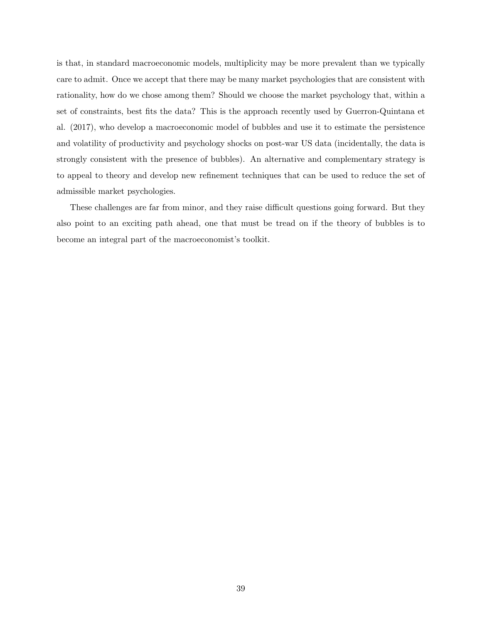is that, in standard macroeconomic models, multiplicity may be more prevalent than we typically care to admit. Once we accept that there may be many market psychologies that are consistent with rationality, how do we chose among them? Should we choose the market psychology that, within a set of constraints, best fits the data? This is the approach recently used by Guerron-Quintana et al. (2017), who develop a macroeconomic model of bubbles and use it to estimate the persistence and volatility of productivity and psychology shocks on post-war US data (incidentally, the data is strongly consistent with the presence of bubbles). An alternative and complementary strategy is to appeal to theory and develop new refinement techniques that can be used to reduce the set of admissible market psychologies.

These challenges are far from minor, and they raise difficult questions going forward. But they also point to an exciting path ahead, one that must be tread on if the theory of bubbles is to become an integral part of the macroeconomist's toolkit.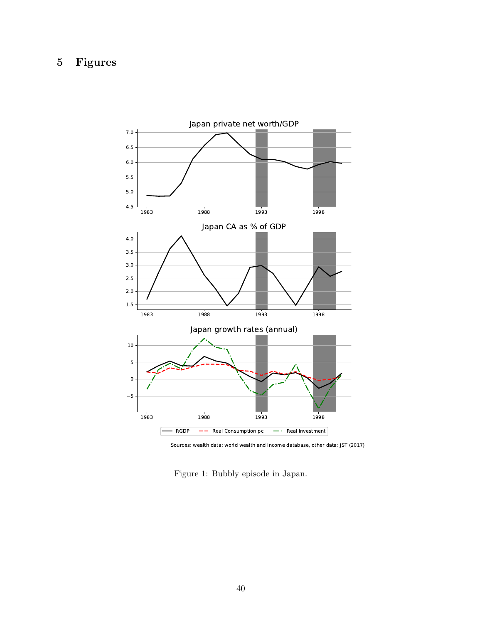#### Figures  $\overline{5}$



Sources: wealth data: world wealth and income database, other data: JST (2017)

Figure 1: Bubbly episode in Japan.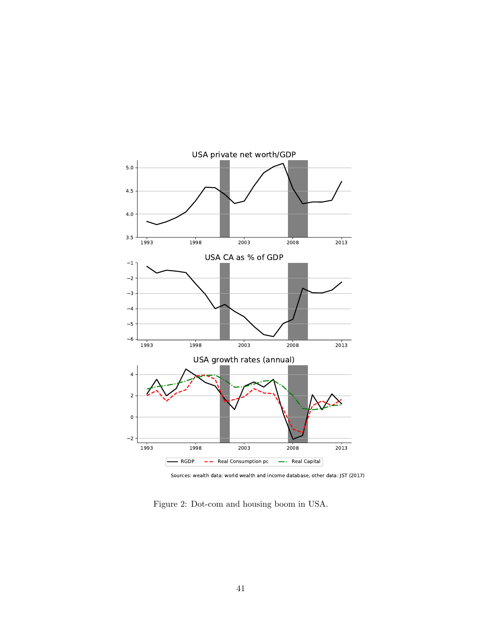

Sources: wealth data: world wealth and income database, other data: JST (2017)

Figure 2: Dot-com and housing boom in USA.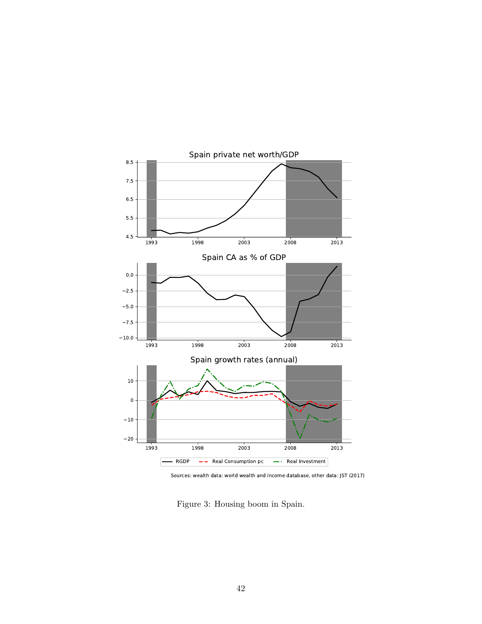

Sources: wealth data: world wealth and income database, other data: JST (2017)

Figure 3: Housing boom in Spain.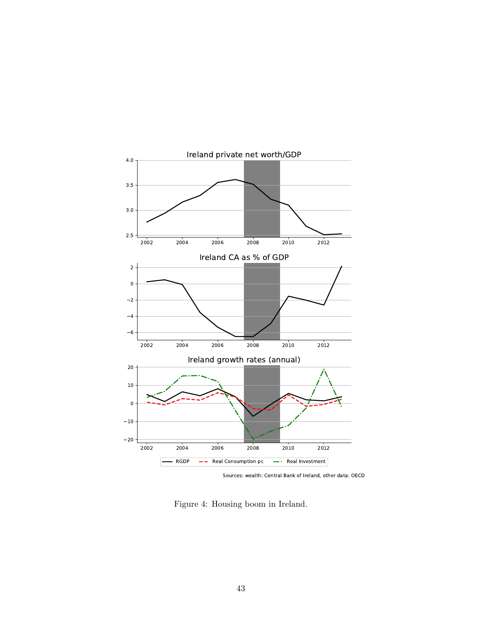

Sources: wealth: Central Bank of Ireland, other data: OECD

Figure 4: Housing boom in Ireland.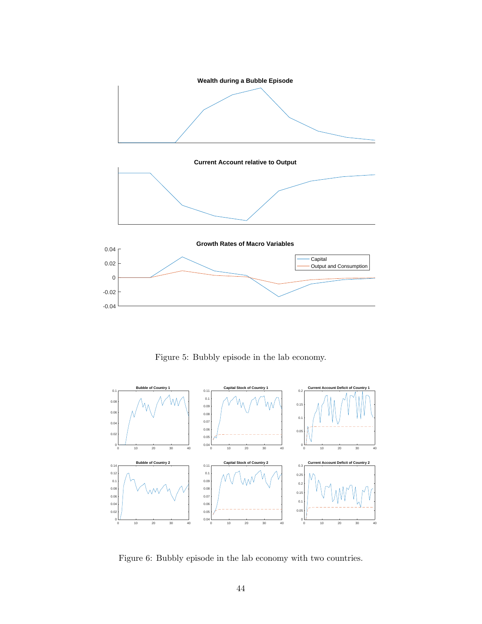

Figure 5: Bubbly episode in the lab economy.



Figure 6: Bubbly episode in the lab economy with two countries.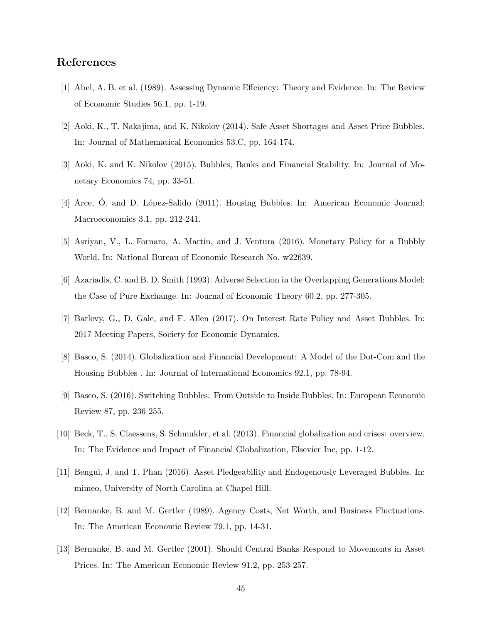## References

- [1] Abel, A. B. et al. (1989). Assessing Dynamic Effciency: Theory and Evidence. In: The Review of Economic Studies 56.1, pp. 1-19.
- [2] Aoki, K., T. Nakajima, and K. Nikolov (2014). Safe Asset Shortages and Asset Price Bubbles. In: Journal of Mathematical Economics 53.C, pp. 164-174.
- [3] Aoki, K. and K. Nikolov (2015). Bubbles, Banks and Financial Stability. In: Journal of Monetary Economics 74, pp. 33-51.
- [4] Arce, O. and D. López-Salido (2011). Housing Bubbles. In: American Economic Journal: Macroeconomics 3.1, pp. 212-241.
- [5] Asriyan, V., L. Fornaro, A. Martin, and J. Ventura (2016). Monetary Policy for a Bubbly World. In: National Bureau of Economic Research No. w22639.
- [6] Azariadis, C. and B. D. Smith (1993). Adverse Selection in the Overlapping Generations Model: the Case of Pure Exchange. In: Journal of Economic Theory 60.2, pp. 277-305.
- [7] Barlevy, G., D. Gale, and F. Allen (2017). On Interest Rate Policy and Asset Bubbles. In: 2017 Meeting Papers, Society for Economic Dynamics.
- [8] Basco, S. (2014). Globalization and Financial Development: A Model of the Dot-Com and the Housing Bubbles . In: Journal of International Economics 92.1, pp. 78-94.
- [9] Basco, S. (2016). Switching Bubbles: From Outside to Inside Bubbles. In: European Economic Review 87, pp. 236 255.
- [10] Beck, T., S. Claessens, S. Schmukler, et al. (2013). Financial globalization and crises: overview. In: The Evidence and Impact of Financial Globalization, Elsevier Inc, pp. 1-12.
- [11] Bengui, J. and T. Phan (2016). Asset Pledgeability and Endogenously Leveraged Bubbles. In: mimeo, University of North Carolina at Chapel Hill.
- [12] Bernanke, B. and M. Gertler (1989). Agency Costs, Net Worth, and Business Fluctuations. In: The American Economic Review 79.1, pp. 14-31.
- [13] Bernanke, B. and M. Gertler (2001). Should Central Banks Respond to Movements in Asset Prices. In: The American Economic Review 91.2, pp. 253-257.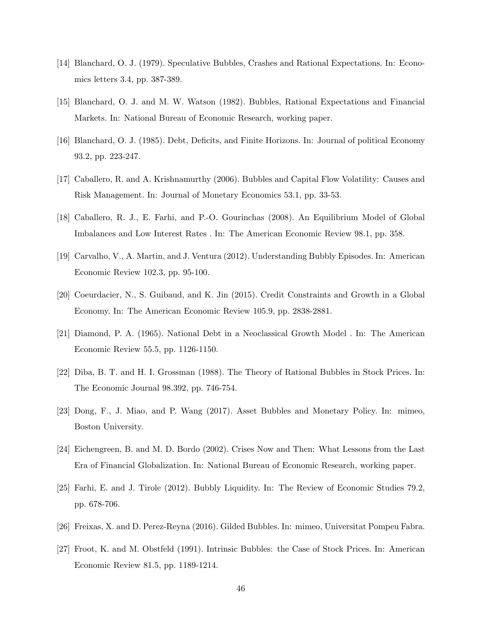- [14] Blanchard, O. J. (1979). Speculative Bubbles, Crashes and Rational Expectations. In: Economics letters 3.4, pp. 387-389.
- [15] Blanchard, O. J. and M. W. Watson (1982). Bubbles, Rational Expectations and Financial Markets. In: National Bureau of Economic Research, working paper.
- [16] Blanchard, O. J. (1985). Debt, Deficits, and Finite Horizons. In: Journal of political Economy 93.2, pp. 223-247.
- [17] Caballero, R. and A. Krishnamurthy (2006). Bubbles and Capital Flow Volatility: Causes and Risk Management. In: Journal of Monetary Economics 53.1, pp. 33-53.
- [18] Caballero, R. J., E. Farhi, and P.-O. Gourinchas (2008). An Equilibrium Model of Global Imbalances and Low Interest Rates . In: The American Economic Review 98.1, pp. 358.
- [19] Carvalho, V., A. Martin, and J. Ventura (2012). Understanding Bubbly Episodes. In: American Economic Review 102.3, pp. 95-100.
- [20] Coeurdacier, N., S. Guibaud, and K. Jin (2015). Credit Constraints and Growth in a Global Economy. In: The American Economic Review 105.9, pp. 2838-2881.
- [21] Diamond, P. A. (1965). National Debt in a Neoclassical Growth Model . In: The American Economic Review 55.5, pp. 1126-1150.
- [22] Diba, B. T. and H. I. Grossman (1988). The Theory of Rational Bubbles in Stock Prices. In: The Economic Journal 98.392, pp. 746-754.
- [23] Dong, F., J. Miao, and P. Wang (2017). Asset Bubbles and Monetary Policy. In: mimeo, Boston University.
- [24] Eichengreen, B. and M. D. Bordo (2002). Crises Now and Then: What Lessons from the Last Era of Financial Globalization. In: National Bureau of Economic Research, working paper.
- [25] Farhi, E. and J. Tirole (2012). Bubbly Liquidity. In: The Review of Economic Studies 79.2, pp. 678-706.
- [26] Freixas, X. and D. Perez-Reyna (2016). Gilded Bubbles. In: mimeo, Universitat Pompeu Fabra.
- [27] Froot, K. and M. Obstfeld (1991). Intrinsic Bubbles: the Case of Stock Prices. In: American Economic Review 81.5, pp. 1189-1214.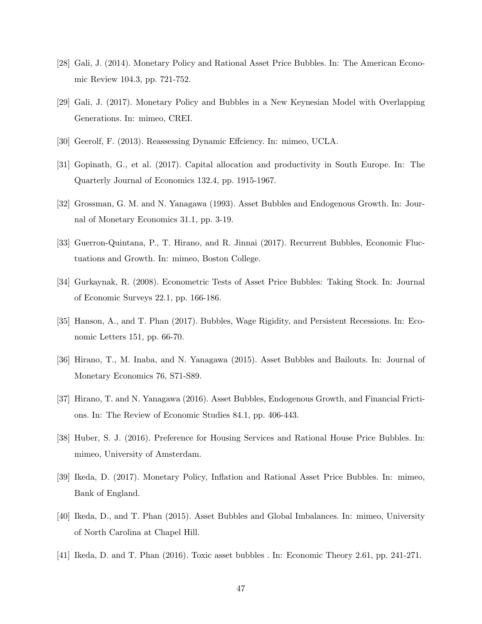- [28] Gali, J. (2014). Monetary Policy and Rational Asset Price Bubbles. In: The American Economic Review 104.3, pp. 721-752.
- [29] Gali, J. (2017). Monetary Policy and Bubbles in a New Keynesian Model with Overlapping Generations. In: mimeo, CREI.
- [30] Geerolf, F. (2013). Reassessing Dynamic Effciency. In: mimeo, UCLA.
- [31] Gopinath, G., et al. (2017). Capital allocation and productivity in South Europe. In: The Quarterly Journal of Economics 132.4, pp. 1915-1967.
- [32] Grossman, G. M. and N. Yanagawa (1993). Asset Bubbles and Endogenous Growth. In: Journal of Monetary Economics 31.1, pp. 3-19.
- [33] Guerron-Quintana, P., T. Hirano, and R. Jinnai (2017). Recurrent Bubbles, Economic Fluctuations and Growth. In: mimeo, Boston College.
- [34] Gurkaynak, R. (2008). Econometric Tests of Asset Price Bubbles: Taking Stock. In: Journal of Economic Surveys 22.1, pp. 166-186.
- [35] Hanson, A., and T. Phan (2017). Bubbles, Wage Rigidity, and Persistent Recessions. In: Economic Letters 151, pp. 66-70.
- [36] Hirano, T., M. Inaba, and N. Yanagawa (2015). Asset Bubbles and Bailouts. In: Journal of Monetary Economics 76, S71-S89.
- [37] Hirano, T. and N. Yanagawa (2016). Asset Bubbles, Endogenous Growth, and Financial Frictions. In: The Review of Economic Studies 84.1, pp. 406-443.
- [38] Huber, S. J. (2016). Preference for Housing Services and Rational House Price Bubbles. In: mimeo, University of Amsterdam.
- [39] Ikeda, D. (2017). Monetary Policy, Inflation and Rational Asset Price Bubbles. In: mimeo, Bank of England.
- [40] Ikeda, D., and T. Phan (2015). Asset Bubbles and Global Imbalances. In: mimeo, University of North Carolina at Chapel Hill.
- [41] Ikeda, D. and T. Phan (2016). Toxic asset bubbles . In: Economic Theory 2.61, pp. 241-271.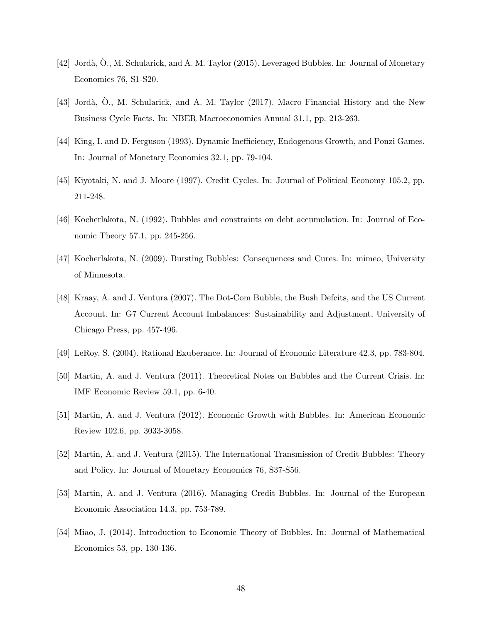- [42] Jordà, O., M. Schularick, and A. M. Taylor (2015). Leveraged Bubbles. In: Journal of Monetary Economics 76, S1-S20.
- [43] Jordà, O., M. Schularick, and A. M. Taylor (2017). Macro Financial History and the New Business Cycle Facts. In: NBER Macroeconomics Annual 31.1, pp. 213-263.
- [44] King, I. and D. Ferguson (1993). Dynamic Inefficiency, Endogenous Growth, and Ponzi Games. In: Journal of Monetary Economics 32.1, pp. 79-104.
- [45] Kiyotaki, N. and J. Moore (1997). Credit Cycles. In: Journal of Political Economy 105.2, pp. 211-248.
- [46] Kocherlakota, N. (1992). Bubbles and constraints on debt accumulation. In: Journal of Economic Theory 57.1, pp. 245-256.
- [47] Kocherlakota, N. (2009). Bursting Bubbles: Consequences and Cures. In: mimeo, University of Minnesota.
- [48] Kraay, A. and J. Ventura (2007). The Dot-Com Bubble, the Bush Defcits, and the US Current Account. In: G7 Current Account Imbalances: Sustainability and Adjustment, University of Chicago Press, pp. 457-496.
- [49] LeRoy, S. (2004). Rational Exuberance. In: Journal of Economic Literature 42.3, pp. 783-804.
- [50] Martin, A. and J. Ventura (2011). Theoretical Notes on Bubbles and the Current Crisis. In: IMF Economic Review 59.1, pp. 6-40.
- [51] Martin, A. and J. Ventura (2012). Economic Growth with Bubbles. In: American Economic Review 102.6, pp. 3033-3058.
- [52] Martin, A. and J. Ventura (2015). The International Transmission of Credit Bubbles: Theory and Policy. In: Journal of Monetary Economics 76, S37-S56.
- [53] Martin, A. and J. Ventura (2016). Managing Credit Bubbles. In: Journal of the European Economic Association 14.3, pp. 753-789.
- [54] Miao, J. (2014). Introduction to Economic Theory of Bubbles. In: Journal of Mathematical Economics 53, pp. 130-136.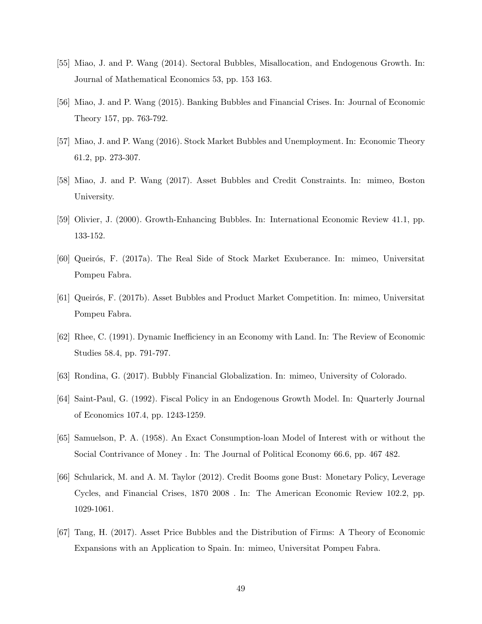- [55] Miao, J. and P. Wang (2014). Sectoral Bubbles, Misallocation, and Endogenous Growth. In: Journal of Mathematical Economics 53, pp. 153 163.
- [56] Miao, J. and P. Wang (2015). Banking Bubbles and Financial Crises. In: Journal of Economic Theory 157, pp. 763-792.
- [57] Miao, J. and P. Wang (2016). Stock Market Bubbles and Unemployment. In: Economic Theory 61.2, pp. 273-307.
- [58] Miao, J. and P. Wang (2017). Asset Bubbles and Credit Constraints. In: mimeo, Boston University.
- [59] Olivier, J. (2000). Growth-Enhancing Bubbles. In: International Economic Review 41.1, pp. 133-152.
- [60] Queirós, F. (2017a). The Real Side of Stock Market Exuberance. In: mimeo, Universitat Pompeu Fabra.
- [61] Queirós, F. (2017b). Asset Bubbles and Product Market Competition. In: mimeo, Universitat Pompeu Fabra.
- [62] Rhee, C. (1991). Dynamic Inefficiency in an Economy with Land. In: The Review of Economic Studies 58.4, pp. 791-797.
- [63] Rondina, G. (2017). Bubbly Financial Globalization. In: mimeo, University of Colorado.
- [64] Saint-Paul, G. (1992). Fiscal Policy in an Endogenous Growth Model. In: Quarterly Journal of Economics 107.4, pp. 1243-1259.
- [65] Samuelson, P. A. (1958). An Exact Consumption-loan Model of Interest with or without the Social Contrivance of Money . In: The Journal of Political Economy 66.6, pp. 467 482.
- [66] Schularick, M. and A. M. Taylor (2012). Credit Booms gone Bust: Monetary Policy, Leverage Cycles, and Financial Crises, 1870 2008 . In: The American Economic Review 102.2, pp. 1029-1061.
- [67] Tang, H. (2017). Asset Price Bubbles and the Distribution of Firms: A Theory of Economic Expansions with an Application to Spain. In: mimeo, Universitat Pompeu Fabra.